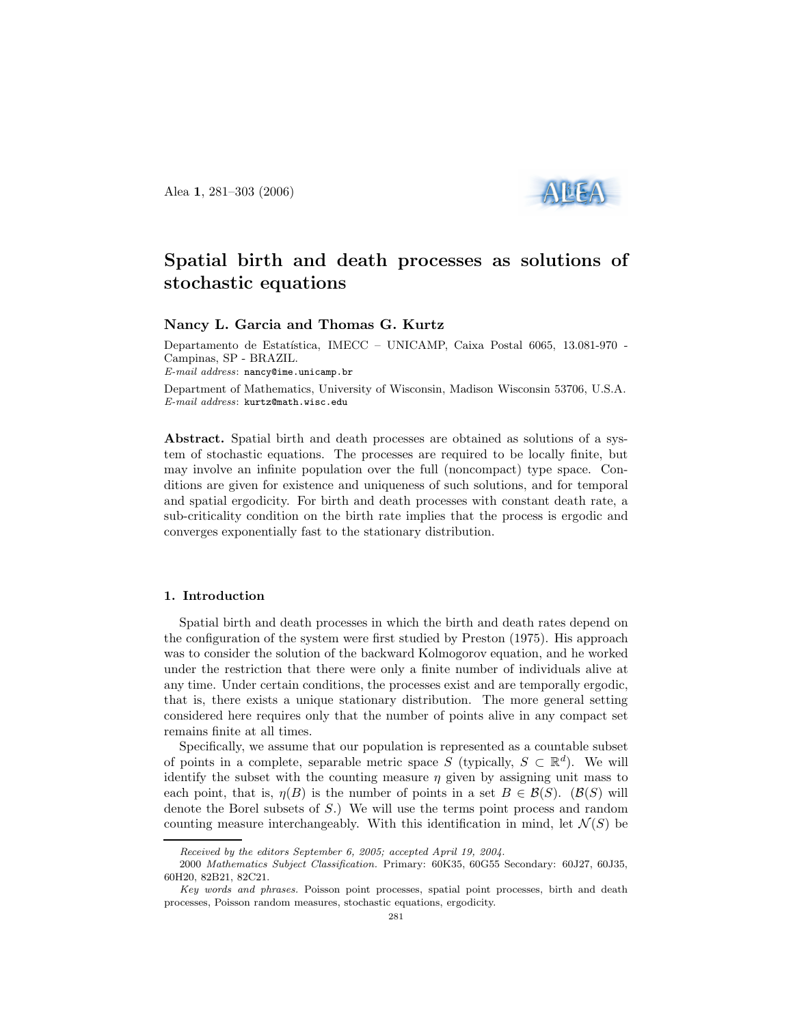Alea 1, 281–303 (2006)



# Spatial birth and death processes as solutions of stochastic equations

Nancy L. Garcia and Thomas G. Kurtz

Departamento de Estatística, IMECC – UNICAMP, Caixa Postal 6065, 13.081-970 -Campinas, SP - BRAZIL. E-mail address: nancy@ime.unicamp.br Department of Mathematics, University of Wisconsin, Madison Wisconsin 53706, U.S.A. E-mail address: kurtz@math.wisc.edu

Abstract. Spatial birth and death processes are obtained as solutions of a system of stochastic equations. The processes are required to be locally finite, but may involve an infinite population over the full (noncompact) type space. Conditions are given for existence and uniqueness of such solutions, and for temporal and spatial ergodicity. For birth and death processes with constant death rate, a sub-criticality condition on the birth rate implies that the process is ergodic and converges exponentially fast to the stationary distribution.

## 1. Introduction

Spatial birth and death processes in which the birth and death rates depend on the configuration of the system were first studied by Preston (1975). His approach was to consider the solution of the backward Kolmogorov equation, and he worked under the restriction that there were only a finite number of individuals alive at any time. Under certain conditions, the processes exist and are temporally ergodic, that is, there exists a unique stationary distribution. The more general setting considered here requires only that the number of points alive in any compact set remains finite at all times.

Specifically, we assume that our population is represented as a countable subset of points in a complete, separable metric space S (typically,  $S \subset \mathbb{R}^d$ ). We will identify the subset with the counting measure  $\eta$  given by assigning unit mass to each point, that is,  $\eta(B)$  is the number of points in a set  $B \in \mathcal{B}(S)$ . ( $\mathcal{B}(S)$  will denote the Borel subsets of S.) We will use the terms point process and random counting measure interchangeably. With this identification in mind, let  $\mathcal{N}(S)$  be

Received by the editors September 6, 2005; accepted April 19, 2004.

<sup>2000</sup> Mathematics Subject Classification. Primary: 60K35, 60G55 Secondary: 60J27, 60J35, 60H20, 82B21, 82C21.

Key words and phrases. Poisson point processes, spatial point processes, birth and death processes, Poisson random measures, stochastic equations, ergodicity.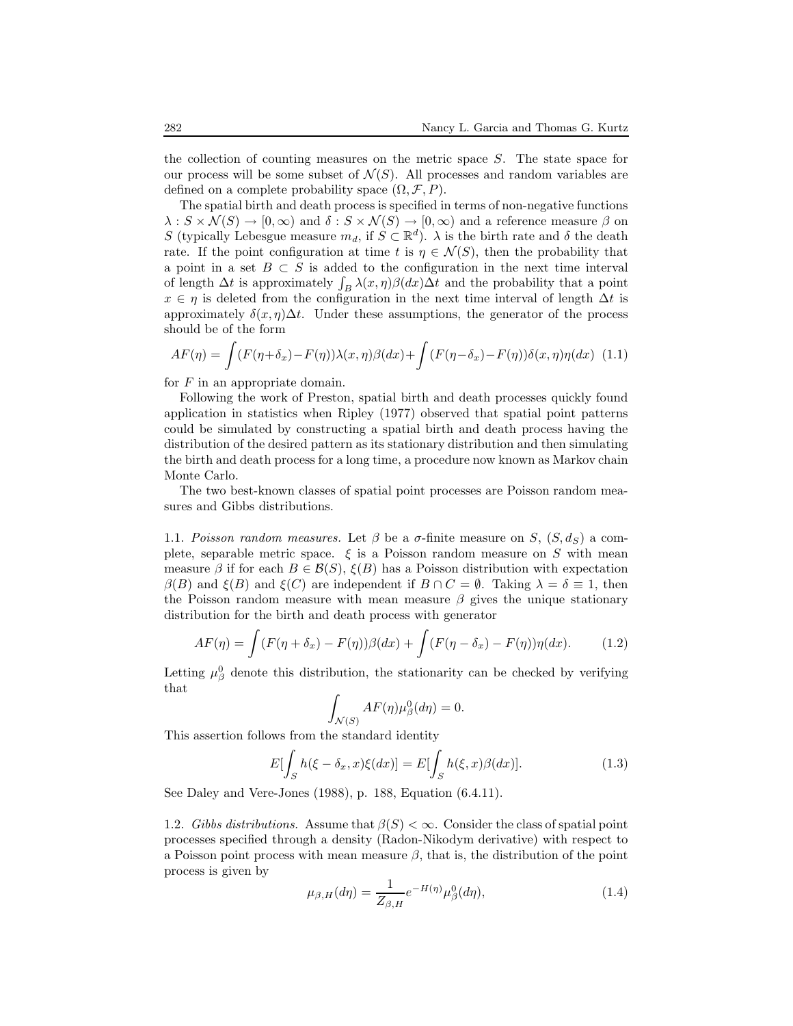the collection of counting measures on the metric space  $S$ . The state space for our process will be some subset of  $\mathcal{N}(S)$ . All processes and random variables are defined on a complete probability space  $(\Omega, \mathcal{F}, P)$ .

The spatial birth and death process is specified in terms of non-negative functions  $\lambda: S \times \mathcal{N}(S) \to [0, \infty)$  and  $\delta: S \times \mathcal{N}(S) \to [0, \infty)$  and a reference measure  $\beta$  on S (typically Lebesgue measure  $m_d$ , if  $S \subset \mathbb{R}^d$ ).  $\lambda$  is the birth rate and  $\delta$  the death rate. If the point configuration at time t is  $\eta \in \mathcal{N}(S)$ , then the probability that a point in a set  $B \subset S$  is added to the configuration in the next time interval of length  $\Delta t$  is approximately  $\int_B \lambda(x, \eta) \beta(dx) \Delta t$  and the probability that a point  $x \in \eta$  is deleted from the configuration in the next time interval of length  $\Delta t$  is approximately  $\delta(x, \eta) \Delta t$ . Under these assumptions, the generator of the process should be of the form

$$
AF(\eta) = \int (F(\eta + \delta_x) - F(\eta))\lambda(x, \eta)\beta(dx) + \int (F(\eta - \delta_x) - F(\eta))\delta(x, \eta)\eta(dx) \tag{1.1}
$$

for  $F$  in an appropriate domain.

Following the work of Preston, spatial birth and death processes quickly found application in statistics when Ripley (1977) observed that spatial point patterns could be simulated by constructing a spatial birth and death process having the distribution of the desired pattern as its stationary distribution and then simulating the birth and death process for a long time, a procedure now known as Markov chain Monte Carlo.

The two best-known classes of spatial point processes are Poisson random measures and Gibbs distributions.

1.1. Poisson random measures. Let  $\beta$  be a  $\sigma$ -finite measure on S,  $(S, d_S)$  a complete, separable metric space.  $\xi$  is a Poisson random measure on S with mean measure  $\beta$  if for each  $B \in \mathcal{B}(S)$ ,  $\xi(B)$  has a Poisson distribution with expectation  $\beta(B)$  and  $\xi(B)$  and  $\xi(C)$  are independent if  $B \cap C = \emptyset$ . Taking  $\lambda = \delta \equiv 1$ , then the Poisson random measure with mean measure  $\beta$  gives the unique stationary distribution for the birth and death process with generator

$$
AF(\eta) = \int (F(\eta + \delta_x) - F(\eta))\beta(dx) + \int (F(\eta - \delta_x) - F(\eta))\eta(dx). \tag{1.2}
$$

Letting  $\mu_{\beta}^0$  denote this distribution, the stationarity can be checked by verifying that

$$
\int_{\mathcal{N}(S)} AF(\eta) \mu_{\beta}^{0}(d\eta) = 0.
$$

This assertion follows from the standard identity

$$
E[\int_{S} h(\xi - \delta_x, x)\xi(dx)] = E[\int_{S} h(\xi, x)\beta(dx)].
$$
\n(1.3)

See Daley and Vere-Jones (1988), p. 188, Equation (6.4.11).

1.2. Gibbs distributions. Assume that  $\beta(S) < \infty$ . Consider the class of spatial point processes specified through a density (Radon-Nikodym derivative) with respect to a Poisson point process with mean measure  $\beta$ , that is, the distribution of the point process is given by

$$
\mu_{\beta,H}(d\eta) = \frac{1}{Z_{\beta,H}} e^{-H(\eta)} \mu_{\beta}^{0}(d\eta), \qquad (1.4)
$$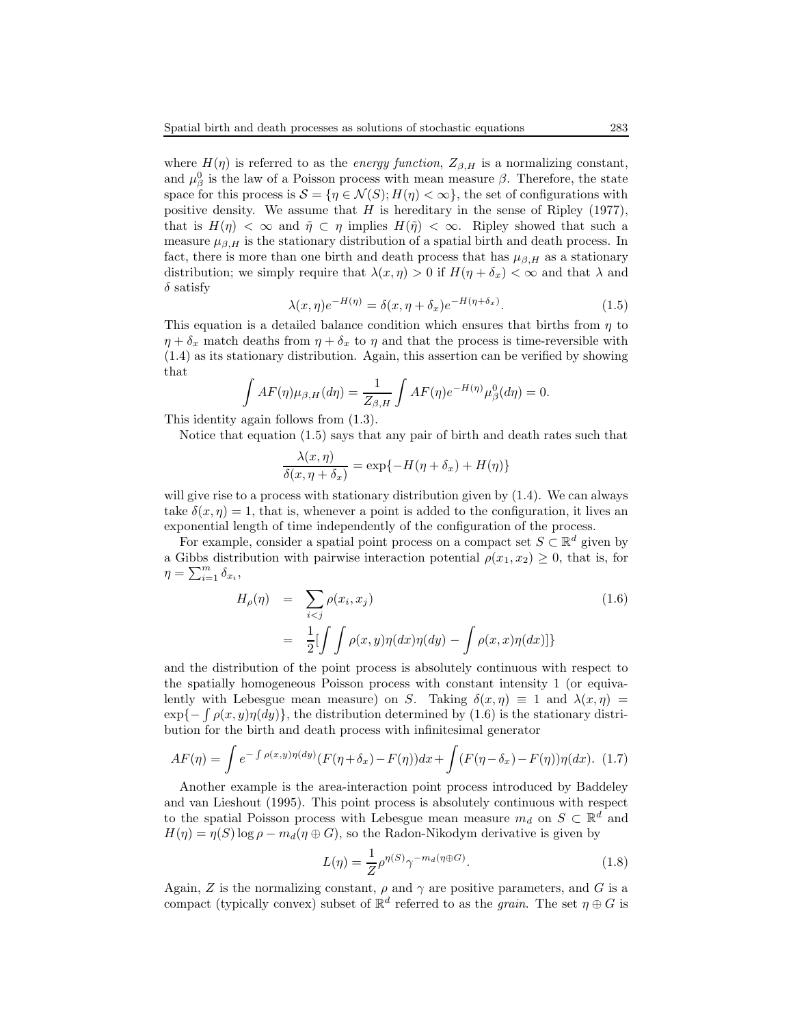where  $H(\eta)$  is referred to as the *energy function*,  $Z_{\beta,H}$  is a normalizing constant, and  $\mu_{\beta}^{0}$  is the law of a Poisson process with mean measure  $\beta$ . Therefore, the state space for this process is  $\mathcal{S} = \{ \eta \in \mathcal{N}(S); H(\eta) < \infty \},\$  the set of configurations with positive density. We assume that  $H$  is hereditary in the sense of Ripley (1977), that is  $H(\eta) < \infty$  and  $\tilde{\eta} \subset \eta$  implies  $H(\tilde{\eta}) < \infty$ . Ripley showed that such a measure  $\mu_{\beta,H}$  is the stationary distribution of a spatial birth and death process. In fact, there is more than one birth and death process that has  $\mu_{\beta,H}$  as a stationary distribution; we simply require that  $\lambda(x, \eta) > 0$  if  $H(\eta + \delta_x) < \infty$  and that  $\lambda$  and  $\delta$  satisfy

$$
\lambda(x,\eta)e^{-H(\eta)} = \delta(x,\eta+\delta_x)e^{-H(\eta+\delta_x)}.
$$
\n(1.5)

This equation is a detailed balance condition which ensures that births from  $\eta$  to  $\eta + \delta_x$  match deaths from  $\eta + \delta_x$  to  $\eta$  and that the process is time-reversible with (1.4) as its stationary distribution. Again, this assertion can be verified by showing that

$$
\int AF(\eta)\mu_{\beta,H}(d\eta) = \frac{1}{Z_{\beta,H}} \int AF(\eta)e^{-H(\eta)}\mu_{\beta}^{0}(d\eta) = 0.
$$

This identity again follows from (1.3).

Notice that equation (1.5) says that any pair of birth and death rates such that

$$
\frac{\lambda(x,\eta)}{\delta(x,\eta+\delta_x)} = \exp\{-H(\eta+\delta_x) + H(\eta)\}\
$$

will give rise to a process with stationary distribution given by  $(1.4)$ . We can always take  $\delta(x, \eta) = 1$ , that is, whenever a point is added to the configuration, it lives an exponential length of time independently of the configuration of the process.

For example, consider a spatial point process on a compact set  $S \subset \mathbb{R}^d$  given by a Gibbs distribution with pairwise interaction potential  $\rho(x_1, x_2) \geq 0$ , that is, for  $\eta = \sum_{i=1}^m \delta_{x_i},$ 

$$
H_{\rho}(\eta) = \sum_{i < j} \rho(x_i, x_j) \tag{1.6}
$$
\n
$$
= \frac{1}{2} \left[ \int \int \rho(x, y) \eta(dx) \eta(dy) - \int \rho(x, x) \eta(dx) \right]
$$

and the distribution of the point process is absolutely continuous with respect to the spatially homogeneous Poisson process with constant intensity 1 (or equivalently with Lebesgue mean measure) on S. Taking  $\delta(x, \eta) \equiv 1$  and  $\lambda(x, \eta) =$  $\exp{-\int \rho(x, y)\eta(dy)}$ , the distribution determined by (1.6) is the stationary distribution for the birth and death process with infinitesimal generator

$$
AF(\eta) = \int e^{-\int \rho(x,y)\eta(dy)} (F(\eta + \delta_x) - F(\eta))dx + \int (F(\eta - \delta_x) - F(\eta))\eta(dx). \tag{1.7}
$$

Another example is the area-interaction point process introduced by Baddeley and van Lieshout (1995). This point process is absolutely continuous with respect to the spatial Poisson process with Lebesgue mean measure  $m_d$  on  $S \subset \mathbb{R}^d$  and  $H(\eta) = \eta(S) \log \rho - m_d(\eta \oplus G)$ , so the Radon-Nikodym derivative is given by

$$
L(\eta) = \frac{1}{Z} \rho^{\eta(S)} \gamma^{-m_d(\eta \oplus G)}.
$$
\n(1.8)

Again, Z is the normalizing constant,  $\rho$  and  $\gamma$  are positive parameters, and G is a compact (typically convex) subset of  $\mathbb{R}^d$  referred to as the *grain*. The set  $\eta \oplus G$  is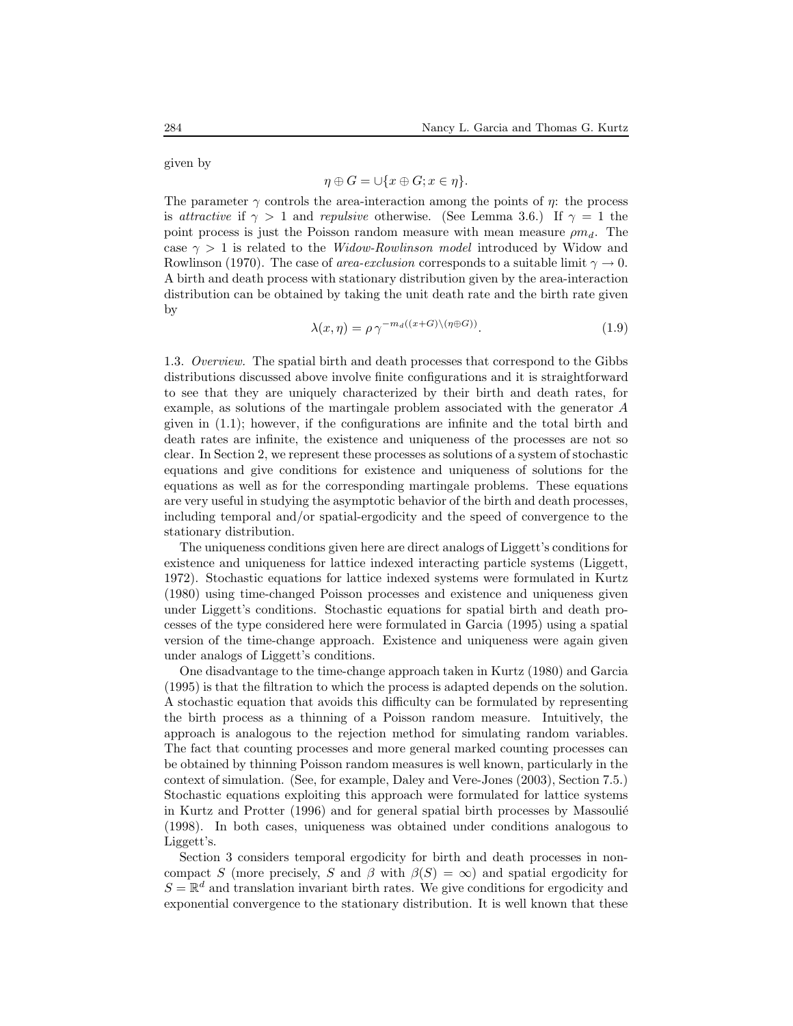given by

$$
\eta \oplus G = \cup \{x \oplus G; x \in \eta\}.
$$

The parameter  $\gamma$  controls the area-interaction among the points of  $\eta$ : the process is attractive if  $\gamma > 1$  and repulsive otherwise. (See Lemma 3.6.) If  $\gamma = 1$  the point process is just the Poisson random measure with mean measure  $\rho m_d$ . The case  $\gamma > 1$  is related to the *Widow-Rowlinson model* introduced by Widow and Rowlinson (1970). The case of *area-exclusion* corresponds to a suitable limit  $\gamma \to 0$ . A birth and death process with stationary distribution given by the area-interaction distribution can be obtained by taking the unit death rate and the birth rate given by

$$
\lambda(x,\eta) = \rho \,\gamma^{-m_d((x+G)\setminus(\eta \oplus G))}.\tag{1.9}
$$

1.3. Overview. The spatial birth and death processes that correspond to the Gibbs distributions discussed above involve finite configurations and it is straightforward to see that they are uniquely characterized by their birth and death rates, for example, as solutions of the martingale problem associated with the generator A given in (1.1); however, if the configurations are infinite and the total birth and death rates are infinite, the existence and uniqueness of the processes are not so clear. In Section 2, we represent these processes as solutions of a system of stochastic equations and give conditions for existence and uniqueness of solutions for the equations as well as for the corresponding martingale problems. These equations are very useful in studying the asymptotic behavior of the birth and death processes, including temporal and/or spatial-ergodicity and the speed of convergence to the stationary distribution.

The uniqueness conditions given here are direct analogs of Liggett's conditions for existence and uniqueness for lattice indexed interacting particle systems (Liggett, 1972). Stochastic equations for lattice indexed systems were formulated in Kurtz (1980) using time-changed Poisson processes and existence and uniqueness given under Liggett's conditions. Stochastic equations for spatial birth and death processes of the type considered here were formulated in Garcia (1995) using a spatial version of the time-change approach. Existence and uniqueness were again given under analogs of Liggett's conditions.

One disadvantage to the time-change approach taken in Kurtz (1980) and Garcia (1995) is that the filtration to which the process is adapted depends on the solution. A stochastic equation that avoids this difficulty can be formulated by representing the birth process as a thinning of a Poisson random measure. Intuitively, the approach is analogous to the rejection method for simulating random variables. The fact that counting processes and more general marked counting processes can be obtained by thinning Poisson random measures is well known, particularly in the context of simulation. (See, for example, Daley and Vere-Jones (2003), Section 7.5.) Stochastic equations exploiting this approach were formulated for lattice systems in Kurtz and Protter (1996) and for general spatial birth processes by Massoulie (1998). In both cases, uniqueness was obtained under conditions analogous to Liggett's.

Section 3 considers temporal ergodicity for birth and death processes in noncompact S (more precisely, S and  $\beta$  with  $\beta(S) = \infty$ ) and spatial ergodicity for  $S = \mathbb{R}^d$  and translation invariant birth rates. We give conditions for ergodicity and exponential convergence to the stationary distribution. It is well known that these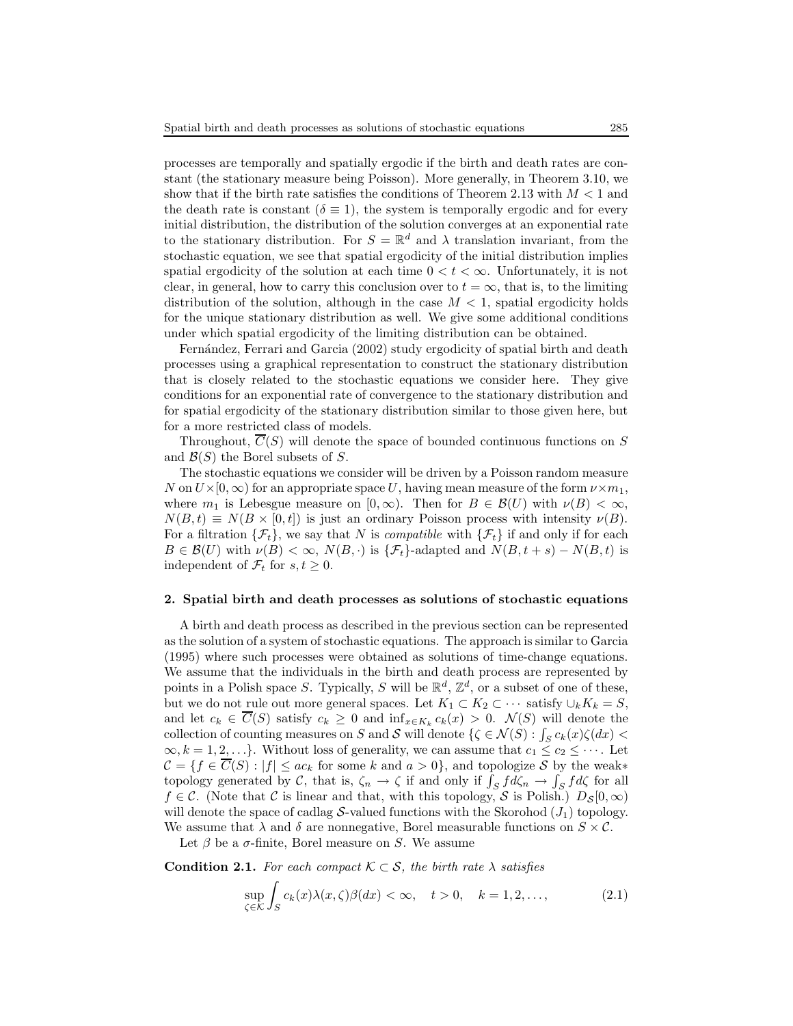processes are temporally and spatially ergodic if the birth and death rates are constant (the stationary measure being Poisson). More generally, in Theorem 3.10, we show that if the birth rate satisfies the conditions of Theorem 2.13 with  $M < 1$  and the death rate is constant ( $\delta \equiv 1$ ), the system is temporally ergodic and for every initial distribution, the distribution of the solution converges at an exponential rate to the stationary distribution. For  $S = \mathbb{R}^d$  and  $\lambda$  translation invariant, from the stochastic equation, we see that spatial ergodicity of the initial distribution implies spatial ergodicity of the solution at each time  $0 < t < \infty$ . Unfortunately, it is not clear, in general, how to carry this conclusion over to  $t = \infty$ , that is, to the limiting distribution of the solution, although in the case  $M < 1$ , spatial ergodicity holds for the unique stationary distribution as well. We give some additional conditions under which spatial ergodicity of the limiting distribution can be obtained.

Fernández, Ferrari and Garcia (2002) study ergodicity of spatial birth and death processes using a graphical representation to construct the stationary distribution that is closely related to the stochastic equations we consider here. They give conditions for an exponential rate of convergence to the stationary distribution and for spatial ergodicity of the stationary distribution similar to those given here, but for a more restricted class of models.

Throughout,  $\overline{C}(S)$  will denote the space of bounded continuous functions on S and  $\mathcal{B}(S)$  the Borel subsets of S.

The stochastic equations we consider will be driven by a Poisson random measure N on  $U\times[0,\infty)$  for an appropriate space U, having mean measure of the form  $\nu\times m_1$ , where  $m_1$  is Lebesgue measure on  $[0, \infty)$ . Then for  $B \in \mathcal{B}(U)$  with  $\nu(B) < \infty$ ,  $N(B,t) \equiv N(B \times [0,t])$  is just an ordinary Poisson process with intensity  $\nu(B)$ . For a filtration  $\{\mathcal{F}_t\}$ , we say that N is *compatible* with  $\{\mathcal{F}_t\}$  if and only if for each  $B \in \mathcal{B}(U)$  with  $\nu(B) < \infty$ ,  $N(B, \cdot)$  is  $\{\mathcal{F}_t\}$ -adapted and  $N(B, t + s) - N(B, t)$  is independent of  $\mathcal{F}_t$  for  $s, t \geq 0$ .

### 2. Spatial birth and death processes as solutions of stochastic equations

A birth and death process as described in the previous section can be represented as the solution of a system of stochastic equations. The approach is similar to Garcia (1995) where such processes were obtained as solutions of time-change equations. We assume that the individuals in the birth and death process are represented by points in a Polish space S. Typically, S will be  $\mathbb{R}^d$ ,  $\mathbb{Z}^d$ , or a subset of one of these, but we do not rule out more general spaces. Let  $K_1 \subset K_2 \subset \cdots$  satisfy  $\cup_k K_k = S$ , and let  $c_k \in C(S)$  satisfy  $c_k \geq 0$  and  $\inf_{x \in K_k} c_k(x) > 0$ .  $\mathcal{N}(S)$  will denote the collection of counting measures on S and S will denote  $\{ \zeta \in \mathcal{N}(S) : \int_S c_k(x) \zeta(dx)$  $\infty, k = 1, 2, \ldots$ . Without loss of generality, we can assume that  $c_1 \leq c_2 \leq \cdots$ . Let  $\mathcal{C} = \{f \in \overline{C}(S) : |f| \leq ac_k \text{ for some } k \text{ and } a > 0\}$ , and topologize S by the weak\* topology generated by C, that is,  $\zeta_n \to \zeta$  if and only if  $\int_S f d\zeta_n \to \int_S f d\zeta$  for all  $f \in \mathcal{C}$ . (Note that  $\mathcal C$  is linear and that, with this topology,  $\mathcal S$  is Polish.)  $D_{\mathcal S}[0,\infty)$ will denote the space of cadlag  $S$ -valued functions with the Skorohod  $(J_1)$  topology. We assume that  $\lambda$  and  $\delta$  are nonnegative, Borel measurable functions on  $S \times \mathcal{C}$ .

Let  $\beta$  be a  $\sigma$ -finite, Borel measure on S. We assume

**Condition 2.1.** For each compact  $\mathcal{K} \subset \mathcal{S}$ , the birth rate  $\lambda$  satisfies

$$
\sup_{\zeta \in \mathcal{K}} \int_{S} c_k(x) \lambda(x, \zeta) \beta(dx) < \infty, \quad t > 0, \quad k = 1, 2, \dots,\tag{2.1}
$$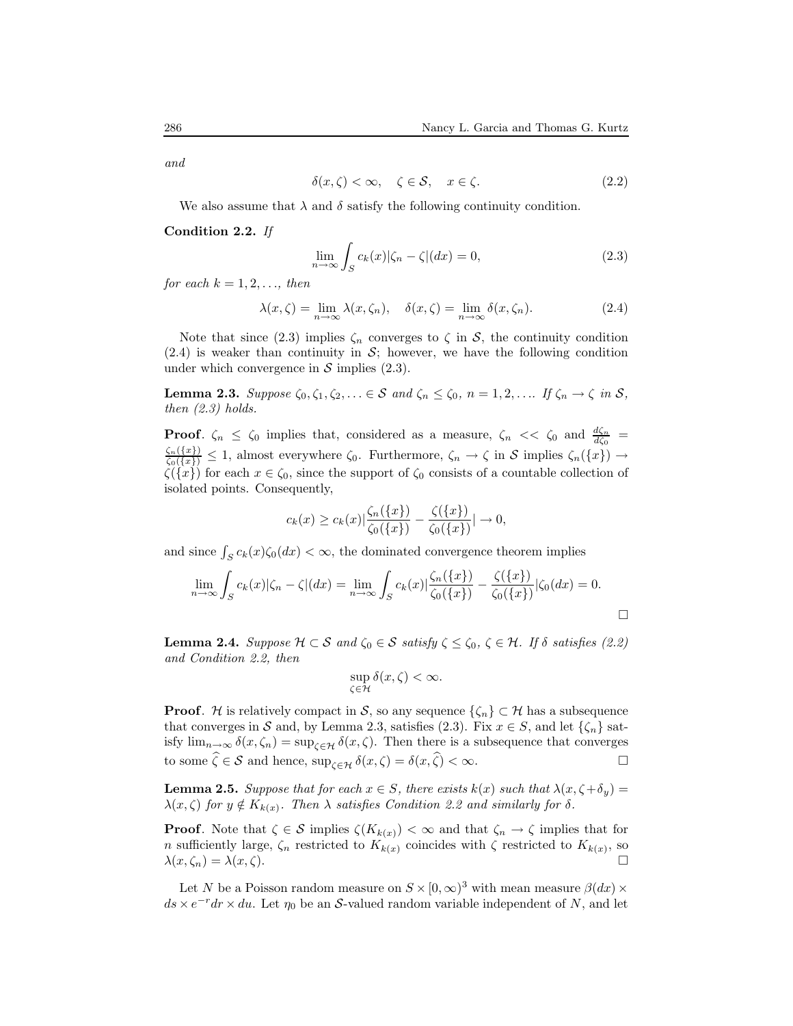and

$$
\delta(x,\zeta) < \infty, \quad \zeta \in \mathcal{S}, \quad x \in \zeta. \tag{2.2}
$$

We also assume that  $\lambda$  and  $\delta$  satisfy the following continuity condition.

Condition 2.2. If

$$
\lim_{n \to \infty} \int_{S} c_k(x) |\zeta_n - \zeta| (dx) = 0,
$$
\n(2.3)

for each  $k = 1, 2, \ldots$ , then

$$
\lambda(x,\zeta) = \lim_{n \to \infty} \lambda(x,\zeta_n), \quad \delta(x,\zeta) = \lim_{n \to \infty} \delta(x,\zeta_n). \tag{2.4}
$$

Note that since (2.3) implies  $\zeta_n$  converges to  $\zeta$  in S, the continuity condition  $(2.4)$  is weaker than continuity in S; however, we have the following condition under which convergence in  $\mathcal S$  implies (2.3).

**Lemma 2.3.** Suppose  $\zeta_0, \zeta_1, \zeta_2, \ldots \in \mathcal{S}$  and  $\zeta_n \leq \zeta_0$ ,  $n = 1, 2, \ldots$  If  $\zeta_n \to \zeta$  in  $\mathcal{S}$ , then  $(2.3)$  holds.

**Proof.**  $\zeta_n \leq \zeta_0$  implies that, considered as a measure,  $\zeta_n \ll \zeta_0$  and  $\frac{d\zeta_n}{d\zeta_0}$  $\frac{\zeta_n({x})}{\zeta_0({x})} \leq 1$ , almost everywhere  $\zeta_0$ . Furthermore,  $\zeta_n \to \zeta$  in S implies  $\zeta_n({x}) \to$  $\zeta(\lbrace x \rbrace)$  for each  $x \in \zeta_0$ , since the support of  $\zeta_0$  consists of a countable collection of isolated points. Consequently,

$$
c_k(x) \geq c_k(x) |\frac{\zeta_n(\{x\})}{\zeta_0(\{x\})} - \frac{\zeta(\{x\})}{\zeta_0(\{x\})}| \to 0,
$$

and since  $\int_S c_k(x) \zeta_0(dx) < \infty$ , the dominated convergence theorem implies

$$
\lim_{n \to \infty} \int_{S} c_k(x) |\zeta_n - \zeta| (dx) = \lim_{n \to \infty} \int_{S} c_k(x) |\frac{\zeta_n(\{x\})}{\zeta_0(\{x\})} - \frac{\zeta(\{x\})}{\zeta_0(\{x\})} |\zeta_0(dx)| = 0.
$$

**Lemma 2.4.** Suppose  $\mathcal{H} \subset \mathcal{S}$  and  $\zeta_0 \in \mathcal{S}$  satisfy  $\zeta \leq \zeta_0$ ,  $\zeta \in \mathcal{H}$ . If  $\delta$  satisfies (2.2) and Condition 2.2, then

$$
\sup_{\zeta \in \mathcal{H}} \delta(x,\zeta) < \infty.
$$

**Proof.** H is relatively compact in S, so any sequence  $\{\zeta_n\} \subset \mathcal{H}$  has a subsequence that converges in S and, by Lemma 2.3, satisfies (2.3). Fix  $x \in S$ , and let  $\{\zeta_n\}$  satisfy  $\lim_{n\to\infty} \delta(x,\zeta_n) = \sup_{\zeta \in \mathcal{H}} \delta(x,\zeta)$ . Then there is a subsequence that converges to some  $\hat{\zeta} \in \mathcal{S}$  and hence,  $\sup_{\zeta \in \mathcal{H}} \delta(x, \zeta) = \delta(x, \hat{\zeta}) < \infty$ .

**Lemma 2.5.** Suppose that for each  $x \in S$ , there exists  $k(x)$  such that  $\lambda(x, \zeta + \delta_y) =$  $\lambda(x,\zeta)$  for  $y \notin K_{k(x)}$ . Then  $\lambda$  satisfies Condition 2.2 and similarly for  $\delta$ .

**Proof.** Note that  $\zeta \in \mathcal{S}$  implies  $\zeta(K_{k(x)}) < \infty$  and that  $\zeta_n \to \zeta$  implies that for n sufficiently large,  $\zeta_n$  restricted to  $K_{k(x)}$  coincides with  $\zeta$  restricted to  $K_{k(x)}$ , so  $\lambda(x,\zeta_n)=\lambda(x,\zeta).$ 

Let N be a Poisson random measure on  $S \times [0, \infty)^3$  with mean measure  $\beta(dx) \times$  $ds \times e^{-r}dr \times du$ . Let  $\eta_0$  be an S-valued random variable independent of N, and let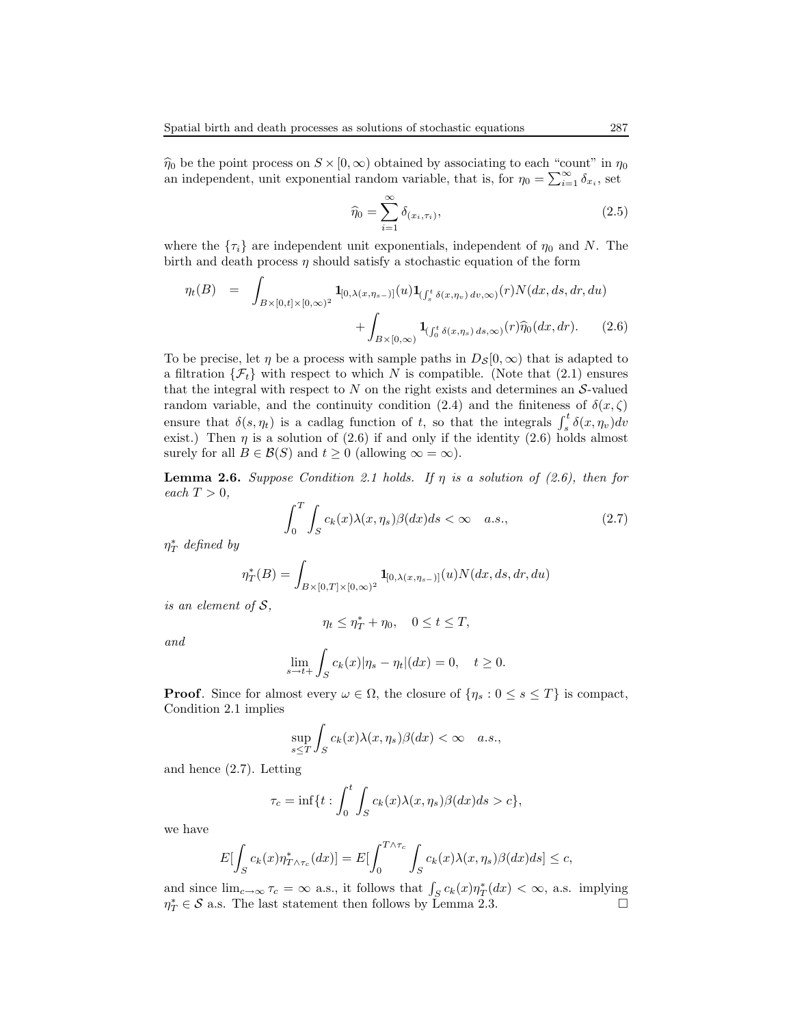$\hat{\eta}_0$  be the point process on  $S \times [0, \infty)$  obtained by associating to each "count" in  $\eta_0$ an independent, unit exponential random variable, that is, for  $\eta_0 = \sum_{i=1}^{\infty} \delta_{x_i}$ , set

$$
\widehat{\eta}_0 = \sum_{i=1}^{\infty} \delta_{(x_i, \tau_i)},\tag{2.5}
$$

where the  $\{\tau_i\}$  are independent unit exponentials, independent of  $\eta_0$  and N. The birth and death process  $\eta$  should satisfy a stochastic equation of the form

$$
\eta_t(B) = \int_{B \times [0,t] \times [0,\infty)^2} \mathbf{1}_{[0,\lambda(x,\eta_{s-})]}(u) \mathbf{1}_{\left(\int_s^t \delta(x,\eta_v) dv, \infty\right)}(r) N(dx, ds, dr, du) \n+ \int_{B \times [0,\infty)} \mathbf{1}_{\left(\int_0^t \delta(x,\eta_s) ds, \infty\right)}(r) \hat{\eta}_0(dx, dr).
$$
\n(2.6)

To be precise, let  $\eta$  be a process with sample paths in  $D_S[0,\infty)$  that is adapted to a filtration  $\{\mathcal{F}_t\}$  with respect to which N is compatible. (Note that (2.1) ensures that the integral with respect to  $N$  on the right exists and determines an  $S$ -valued random variable, and the continuity condition (2.4) and the finiteness of  $\delta(x, \zeta)$ ensure that  $\delta(s, \eta_t)$  is a cadlag function of t, so that the integrals  $\int_s^t \delta(x, \eta_v) dv$ exist.) Then  $\eta$  is a solution of (2.6) if and only if the identity (2.6) holds almost surely for all  $B \in \mathcal{B}(S)$  and  $t \geq 0$  (allowing  $\infty = \infty$ ).

**Lemma 2.6.** Suppose Condition 2.1 holds. If  $\eta$  is a solution of (2.6), then for each  $T > 0$ ,

$$
\int_0^T \int_S c_k(x) \lambda(x, \eta_s) \beta(dx) ds < \infty \quad a.s., \tag{2.7}
$$

 $\eta_T^*$  defined by

$$
\eta_T^*(B) = \int_{B \times [0,T] \times [0,\infty)^2} \mathbf{1}_{[0,\lambda(x,\eta_{s-})]}(u) N(dx, ds, dr, du)
$$

is an element of  $S$ ,

$$
\eta_t \le \eta_T^* + \eta_0, \quad 0 \le t \le T,
$$

and

$$
\lim_{s \to t+} \int_S c_k(x) |\eta_s - \eta_t| (dx) = 0, \quad t \ge 0.
$$

**Proof.** Since for almost every  $\omega \in \Omega$ , the closure of  $\{\eta_s : 0 \le s \le T\}$  is compact, Condition 2.1 implies

$$
\sup_{s\leq T}\int_{S}c_k(x)\lambda(x,\eta_s)\beta(dx)<\infty\quad a.s.,
$$

and hence (2.7). Letting

$$
\tau_c = \inf\{t : \int_0^t \int_S c_k(x) \lambda(x, \eta_s) \beta(dx) ds > c\},\
$$

we have

$$
E[\int_{S} c_{k}(x)\eta_{T\wedge\tau_{c}}^{*}(dx)] = E[\int_{0}^{T\wedge\tau_{c}} \int_{S} c_{k}(x)\lambda(x,\eta_{s})\beta(dx)ds] \leq c,
$$

and since  $\lim_{c\to\infty} \tau_c = \infty$  a.s., it follows that  $\int_S c_k(x) \eta^*_T(dx) < \infty$ , a.s. implying  $\eta_T^* \in \mathcal{S}$  a.s. The last statement then follows by Lemma 2.3.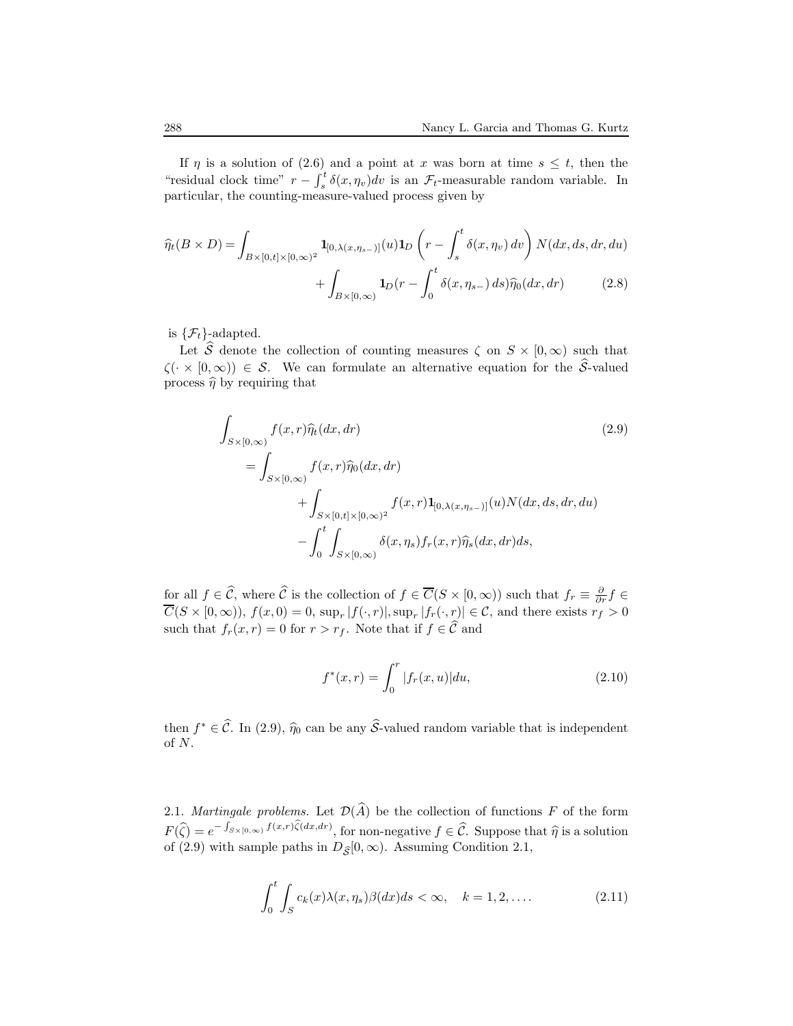If  $\eta$  is a solution of (2.6) and a point at x was born at time  $s \leq t$ , then the "residual clock time"  $r - \int_s^t \delta(x, \eta_v) dv$  is an  $\mathcal{F}_t$ -measurable random variable. In particular, the counting-measure-valued process given by

$$
\widehat{\eta}_t(B \times D) = \int_{B \times [0,t] \times [0,\infty)^2} \mathbf{1}_{[0,\lambda(x,\eta_{s-})]}(u) \mathbf{1}_D\left(r - \int_s^t \delta(x,\eta_v) dv\right) N(dx, ds, dr, du) \n+ \int_{B \times [0,\infty)} \mathbf{1}_D(r - \int_0^t \delta(x,\eta_{s-}) ds) \widehat{\eta}_0(dx, dr)
$$
\n(2.8)

is  $\{\mathcal{F}_t\}$ -adapted.

Let  $\widehat{S}$  denote the collection of counting measures  $\zeta$  on  $S \times [0, \infty)$  such that  $\zeta(\cdot \times [0,\infty)) \in \mathcal{S}$ . We can formulate an alternative equation for the  $\hat{\mathcal{S}}$ -valued process  $\hat{\eta}$  by requiring that

$$
\int_{S\times[0,\infty)} f(x,r)\hat{\eta}_t(dx,dr)
$$
\n
$$
= \int_{S\times[0,\infty)} f(x,r)\hat{\eta}_0(dx,dr)
$$
\n
$$
+ \int_{S\times[0,t]\times[0,\infty)^2} f(x,r)\mathbf{1}_{[0,\lambda(x,\eta_{s-})]}(u)N(dx,ds,dr,du)
$$
\n
$$
- \int_0^t \int_{S\times[0,\infty)} \delta(x,\eta_s) f_r(x,r)\hat{\eta}_s(dx,dr)ds,
$$
\n(2.9)

for all  $f \in \widehat{C}$ , where  $\widehat{C}$  is the collection of  $f \in \overline{C}(S \times [0, \infty))$  such that  $f_r \equiv \frac{\partial}{\partial r} f \in$  $C(S \times [0,\infty)), f(x,0) = 0, \sup_r |f(\cdot,r)|, \sup_r |f_r(\cdot,r)| \in \mathcal{C}$ , and there exists  $r_f > 0$ such that  $f_r(x, r) = 0$  for  $r > r_f$ . Note that if  $f \in \widehat{\mathcal{C}}$  and

$$
f^*(x,r) = \int_0^r |f_r(x,u)| du,
$$
\n(2.10)

then  $f^* \in \widehat{C}$ . In (2.9),  $\widehat{\eta}_0$  can be any  $\widehat{S}$ -valued random variable that is independent of N.

2.1. Martingale problems. Let  $\mathcal{D}(\widehat{A})$  be the collection of functions F of the form  $F(\widehat{\zeta}) = e^{-\int_{S\times[0,\infty)} f(x,r)\widehat{\zeta}(dx,dr)},$  for non-negative  $f \in \widehat{\mathcal{C}}$ . Suppose that  $\widehat{\eta}$  is a solution of (2.9) with sample paths in  $D_{\hat{\mathcal{S}}}[0, \infty)$ . Assuming Condition 2.1,

$$
\int_0^t \int_S c_k(x) \lambda(x, \eta_s) \beta(dx) ds < \infty, \quad k = 1, 2, \dots
$$
 (2.11)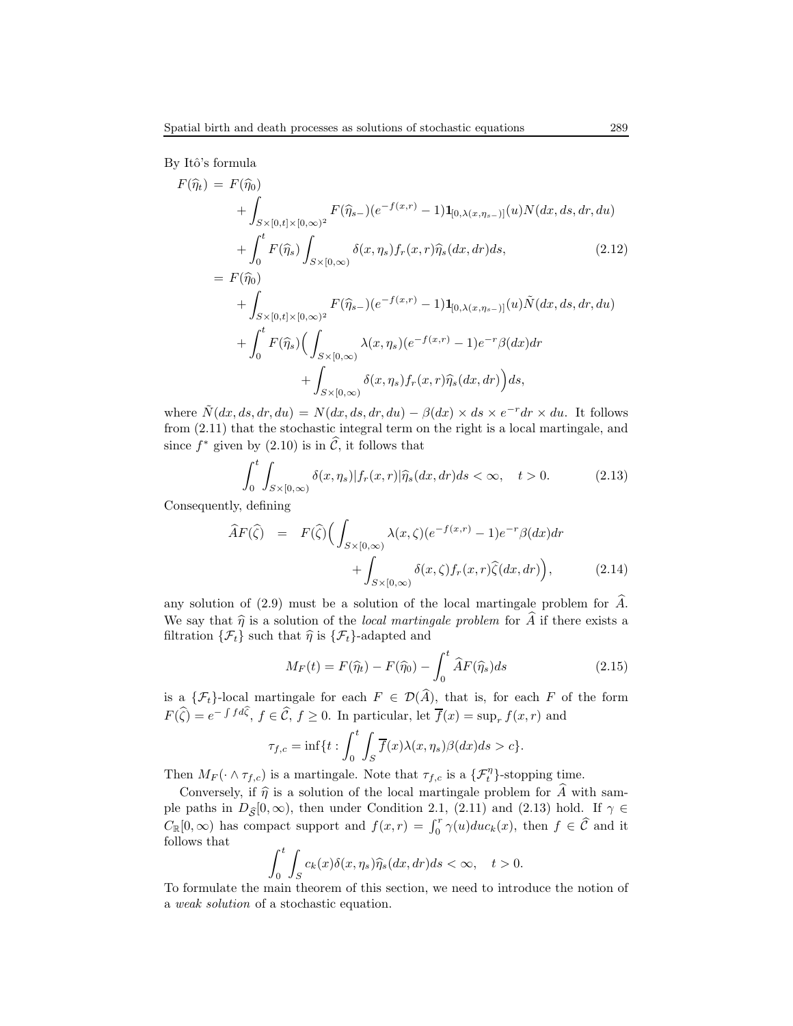By Itô's formula

$$
F(\hat{\eta}_{t}) = F(\hat{\eta}_{0})
$$
  
+  $\int_{S \times [0,t] \times [0,\infty)^{2}} F(\hat{\eta}_{s-}) (e^{-f(x,r)} - 1) \mathbf{1}_{[0,\lambda(x,\eta_{s-})]}(u) N(dx, ds, dr, du)$   
+  $\int_{0}^{t} F(\hat{\eta}_{s}) \int_{S \times [0,\infty)} \delta(x,\eta_{s}) f_{r}(x,r) \hat{\eta}_{s}(dx, dr) ds,$  (2.12)  
=  $F(\hat{\eta}_{0})$   
+  $\int_{S \times [0,t] \times [0,\infty)^{2}} F(\hat{\eta}_{s-}) (e^{-f(x,r)} - 1) \mathbf{1}_{[0,\lambda(x,\eta_{s-})]}(u) \tilde{N}(dx, ds, dr, du)$   
+  $\int_{0}^{t} F(\hat{\eta}_{s}) \Big( \int_{S \times [0,\infty)} \lambda(x,\eta_{s}) (e^{-f(x,r)} - 1) e^{-r} \beta(dx) dr$   
+  $\int_{S \times [0,\infty)} \delta(x,\eta_{s}) f_{r}(x,r) \hat{\eta}_{s}(dx, dr) \Big) ds,$  (2.13)

where  $\tilde{N}(dx, ds, dr, du) = N(dx, ds, dr, du) - \beta(dx) \times ds \times e^{-r}dr \times du$ . It follows from (2.11) that the stochastic integral term on the right is a local martingale, and since  $f^*$  given by (2.10) is in  $\tilde{C}$ , it follows that

$$
\int_0^t \int_{S \times [0,\infty)} \delta(x,\eta_s) |f_r(x,r)| \widehat{\eta}_s(dx,dr) ds < \infty, \quad t > 0. \tag{2.13}
$$

Consequently, defining

$$
\widehat{A}F(\widehat{\zeta}) = F(\widehat{\zeta}) \Big( \int_{S \times [0,\infty)} \lambda(x,\zeta) (e^{-f(x,r)} - 1) e^{-r} \beta(dx) dr \n+ \int_{S \times [0,\infty)} \delta(x,\zeta) f_r(x,r) \widehat{\zeta}(dx,dr) \Big), \tag{2.14}
$$

any solution of (2.9) must be a solution of the local martingale problem for  $\hat{A}$ . We say that  $\hat{\eta}$  is a solution of the *local martingale problem* for  $\hat{A}$  if there exists a filtration  $\{\mathcal{F}_t\}$  such that  $\hat{\eta}$  is  $\{\mathcal{F}_t\}$ -adapted and

$$
M_F(t) = F(\hat{\eta}_t) - F(\hat{\eta}_0) - \int_0^t \hat{A}F(\hat{\eta}_s)ds
$$
\n(2.15)

is a  $\{\mathcal{F}_t\}$ -local martingale for each  $F \in \mathcal{D}(\widehat{A})$ , that is, for each F of the form  $F(\widehat{\zeta}) = e^{-\int f d\widehat{\zeta}}, f \in \widehat{\mathcal{C}}, f \ge 0$ . In particular, let  $\overline{f}(x) = \sup_r f(x,r)$  and

$$
\tau_{f,c} = \inf\{t : \int_0^t \int_S \overline{f}(x)\lambda(x,\eta_s)\beta(dx)ds > c\}.
$$

Then  $M_F(\cdot \wedge \tau_{f,c})$  is a martingale. Note that  $\tau_{f,c}$  is a  $\{\mathcal{F}_t^{\eta}\}\$ -stopping time.

Conversely, if  $\hat{\eta}$  is a solution of the local martingale problem for  $\hat{A}$  with sample paths in  $D_{\hat{\mathcal{S}}}[0,\infty)$ , then under Condition 2.1, (2.11) and (2.13) hold. If  $\gamma \in$  $C_{\mathbb{R}}[0,\infty)$  has compact support and  $f(x,r) = \int_0^r \gamma(u) du c_k(x)$ , then  $f \in \widehat{C}$  and it follows that

$$
\int_0^t \int_S c_k(x) \delta(x, \eta_s) \widehat{\eta_s}(dx, dr) ds < \infty, \quad t > 0.
$$

To formulate the main theorem of this section, we need to introduce the notion of a weak solution of a stochastic equation.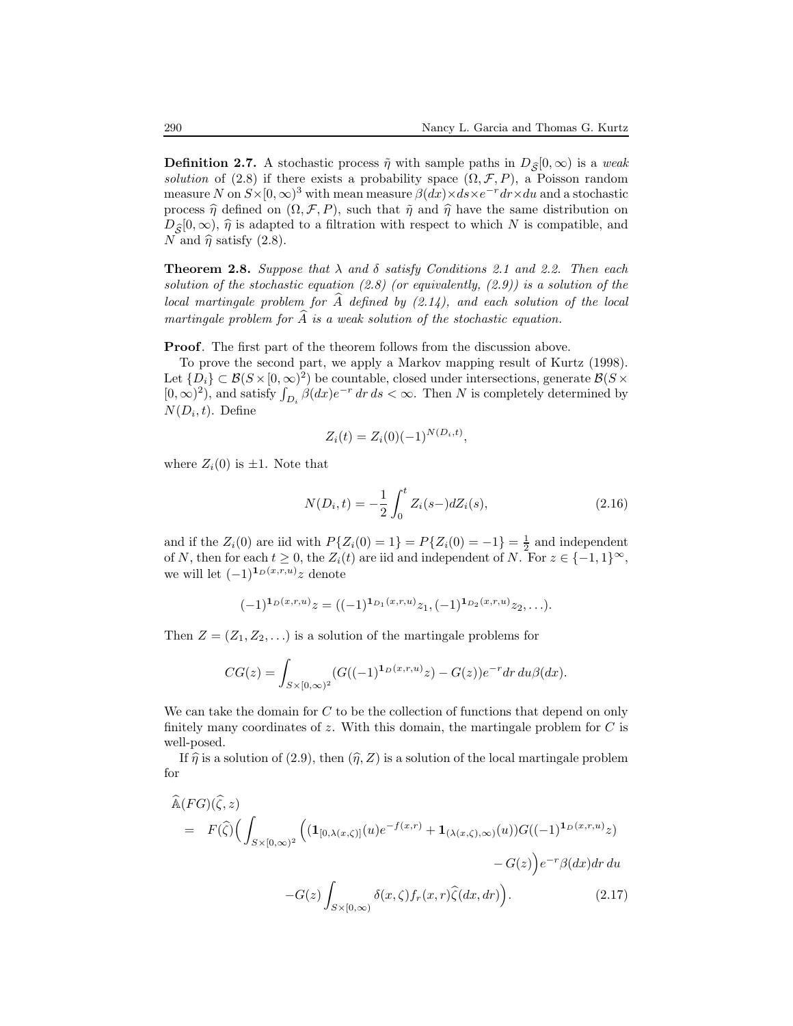**Definition 2.7.** A stochastic process  $\tilde{\eta}$  with sample paths in  $D_{\tilde{S}}[0, \infty)$  is a weak solution of (2.8) if there exists a probability space  $(\Omega, \mathcal{F}, P)$ , a Poisson random measure N on  $S \times [0, \infty)^3$  with mean measure  $\beta(dx) \times ds \times e^{-r} dr \times du$  and a stochastic process  $\hat{\eta}$  defined on  $(\Omega, \mathcal{F}, P)$ , such that  $\tilde{\eta}$  and  $\hat{\eta}$  have the same distribution on  $D_{\hat{\sigma}}[0,\infty)$ ,  $\hat{\eta}$  is adapted to a filtration with respect to which N is compatible, and N and  $\hat{\eta}$  satisfy (2.8).

**Theorem 2.8.** Suppose that  $\lambda$  and  $\delta$  satisfy Conditions 2.1 and 2.2. Then each solution of the stochastic equation  $(2.8)$  (or equivalently,  $(2.9)$ ) is a solution of the local martingale problem for  $\hat{A}$  defined by  $(2.14)$ , and each solution of the local martingale problem for  $\widehat{A}$  is a weak solution of the stochastic equation.

Proof. The first part of the theorem follows from the discussion above.

To prove the second part, we apply a Markov mapping result of Kurtz (1998). Let  $\{D_i\} \subset \mathcal{B}(S \times [0,\infty)^2)$  be countable, closed under intersections, generate  $\mathcal{B}(S \times$  $(0, \infty)^2$ , and satisfy  $\int_{D_i} \beta(dx)e^{-r} dr ds < \infty$ . Then N is completely determined by  $N(D_i, t)$ . Define

$$
Z_i(t) = Z_i(0)(-1)^{N(D_i,t)},
$$

where  $Z_i(0)$  is  $\pm 1$ . Note that

$$
N(D_i, t) = -\frac{1}{2} \int_0^t Z_i(s-) dZ_i(s), \qquad (2.16)
$$

and if the  $Z_i(0)$  are iid with  $P\{Z_i(0) = 1\} = P\{Z_i(0) = -1\} = \frac{1}{2}$  and independent of N, then for each  $t \geq 0$ , the  $Z_i(t)$  are iid and independent of N. For  $z \in \{-1,1\}^{\infty}$ , we will let  $(-1)^{i_D(x,r,u)}z$  denote

$$
(-1)^{1_D(x,r,u)}z = ((-1)^{1_{D_1}(x,r,u)}z_1, (-1)^{1_{D_2}(x,r,u)}z_2, \ldots).
$$

Then  $Z = (Z_1, Z_2, \ldots)$  is a solution of the martingale problems for

$$
CG(z) = \int_{S \times [0,\infty)^2} (G((-1)^{1_D(x,r,u)}z) - G(z))e^{-r} dr du \beta(dx).
$$

We can take the domain for  $C$  to be the collection of functions that depend on only finitely many coordinates of z. With this domain, the martingale problem for  $C$  is well-posed.

If  $\hat{\eta}$  is a solution of (2.9), then  $(\hat{\eta},Z)$  is a solution of the local martingale problem for

$$
\begin{split}\n\widehat{\mathbb{A}}(FG)(\widehat{\zeta},z) \\
&= F(\widehat{\zeta}) \Big( \int_{S \times [0,\infty)^2} \Big( (\mathbf{1}_{[0,\lambda(x,\zeta)]}(u) e^{-f(x,r)} + \mathbf{1}_{(\lambda(x,\zeta),\infty)}(u)) G((-1)^{\mathbf{1}_D(x,r,u)} z) \\
&- G(z) \int_{S \times [0,\infty)} \delta(x,\zeta) f_r(x,r) \widehat{\zeta}(dx,dr) \Big). \n\end{split}
$$
\n(2.17)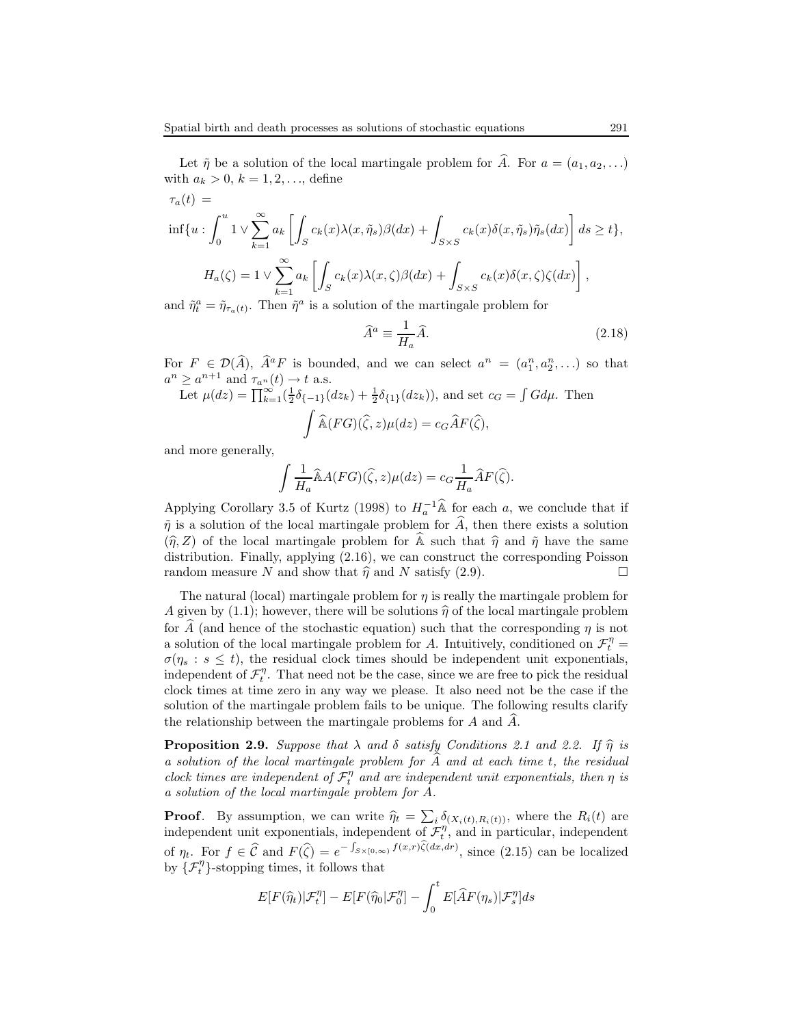Let  $\tilde{\eta}$  be a solution of the local martingale problem for  $\tilde{A}$ . For  $a = (a_1, a_2, \ldots)$ with  $a_k > 0, k = 1, 2, ...,$  define

$$
\tau_a(t) =
$$
  
\n
$$
\inf\{u : \int_0^u 1 \vee \sum_{k=1}^\infty a_k \left[ \int_S c_k(x) \lambda(x, \tilde{\eta}_s) \beta(dx) + \int_{S \times S} c_k(x) \delta(x, \tilde{\eta}_s) \tilde{\eta}_s(dx) \right] ds \ge t \},\
$$
  
\n
$$
H_a(\zeta) = 1 \vee \sum_{k=1}^\infty a_k \left[ \int_S c_k(x) \lambda(x, \zeta) \beta(dx) + \int_{S \times S} c_k(x) \delta(x, \zeta) \zeta(dx) \right],
$$

and  $\tilde{\eta}_t^a = \tilde{\eta}_{\tau_a(t)}$ . Then  $\tilde{\eta}^a$  is a solution of the martingale problem for

$$
\widehat{A}^a \equiv \frac{1}{H_a} \widehat{A}.\tag{2.18}
$$

For  $F \in \mathcal{D}(\widehat{A}), \widehat{A}^a F$  is bounded, and we can select  $a^n = (a_1^n, a_2^n, \ldots)$  so that  $a^n \ge a^{n+1}$  and  $\tau_{a^n}(t) \to t$  a.s.

Let 
$$
\mu(dz) = \prod_{k=1}^{\infty} (\frac{1}{2}\delta_{\{-1\}}(dz_k) + \frac{1}{2}\delta_{\{1\}}(dz_k)),
$$
 and set  $c_G = \int G d\mu$ . Then  

$$
\int \widehat{\mathbb{A}}(FG)(\widehat{\zeta}, z)\mu(dz) = c_G \widehat{A}F(\widehat{\zeta}),
$$

and more generally,

$$
\int \frac{1}{H_a} \widehat{\mathbb{A}}A(FG)(\widehat{\zeta}, z)\mu(dz) = c_G \frac{1}{H_a} \widehat{A}F(\widehat{\zeta}).
$$

Applying Corollary 3.5 of Kurtz (1998) to  $H_a^{-1}$   $\widehat{\mathbb{A}}$  for each a, we conclude that if  $\tilde{\eta}$  is a solution of the local martingale problem for  $\hat{A}$ , then there exists a solution  $(\hat{\eta},Z)$  of the local martingale problem for  $\hat{\mathbb{A}}$  such that  $\hat{\eta}$  and  $\hat{\eta}$  have the same distribution. Finally, applying (2.16), we can construct the corresponding Poisson random measure N and show that  $\hat{\eta}$  and N satisfy (2.9).

The natural (local) martingale problem for  $\eta$  is really the martingale problem for A given by (1.1); however, there will be solutions  $\hat{\eta}$  of the local martingale problem for  $\hat{A}$  (and hence of the stochastic equation) such that the corresponding  $\eta$  is not a solution of the local martingale problem for A. Intuitively, conditioned on  $\mathcal{F}_t^{\eta} =$  $\sigma(\eta_s : s \leq t)$ , the residual clock times should be independent unit exponentials, independent of  $\mathcal{F}_t^{\eta}$ . That need not be the case, since we are free to pick the residual clock times at time zero in any way we please. It also need not be the case if the solution of the martingale problem fails to be unique. The following results clarify the relationship between the martingale problems for  $A$  and  $A$ .

**Proposition 2.9.** Suppose that  $\lambda$  and  $\delta$  satisfy Conditions 2.1 and 2.2. If  $\hat{\eta}$  is a solution of the local martingale problem for  $\overline{A}$  and at each time t, the residual clock times are independent of  $\mathcal{F}_t^{\eta}$  and are independent unit exponentials, then  $\eta$  is a solution of the local martingale problem for A.

**Proof.** By assumption, we can write  $\hat{\eta}_t = \sum_i \delta_{(X_i(t),R_i(t))}$ , where the  $R_i(t)$  are independent unit exponentials, independent of  $\mathcal{F}_t^{\eta}$ , and in particular, independent of  $\eta_t$ . For  $f \in \hat{\mathcal{C}}$  and  $F(\hat{\zeta}) = e^{-\int_{S \times [0,\infty)} f(x,r) \hat{\zeta}(dx,dr)}$ , since (2.15) can be localized by  $\{\mathcal{F}_t^{\eta}\}$ -stopping times, it follows that

$$
E[F(\widehat{\eta}_t)|\mathcal{F}_t^{\eta}] - E[F(\widehat{\eta}_0|\mathcal{F}_0^{\eta}] - \int_0^t E[\widehat{A}F(\eta_s)|\mathcal{F}_s^{\eta}]ds
$$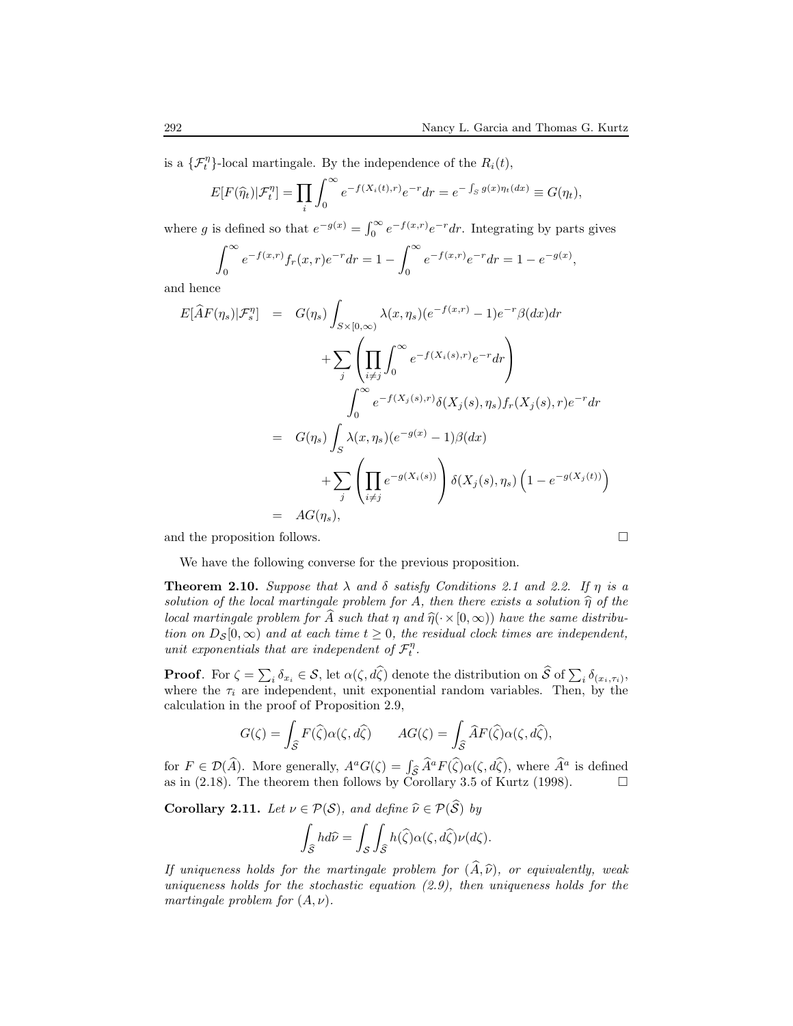is a  $\{\mathcal{F}_t^{\eta}\}$ -local martingale. By the independence of the  $R_i(t)$ ,

$$
E[F(\widehat{\eta}_t)|\mathcal{F}_t^{\eta}] = \prod_i \int_0^{\infty} e^{-f(X_i(t),r)} e^{-r} dr = e^{-\int_S g(x)\eta_t(dx)} \equiv G(\eta_t),
$$

where g is defined so that  $e^{-g(x)} = \int_0^\infty e^{-f(x,r)} e^{-r} dr$ . Integrating by parts gives

$$
\int_0^\infty e^{-f(x,r)} f_r(x,r) e^{-r} dr = 1 - \int_0^\infty e^{-f(x,r)} e^{-r} dr = 1 - e^{-g(x)},
$$

and hence

$$
E[\widehat{A}F(\eta_s)|\mathcal{F}_s^{\eta}] = G(\eta_s) \int_{S \times [0,\infty)} \lambda(x,\eta_s)(e^{-f(x,r)} - 1)e^{-r}\beta(dx)dr
$$
  
+ 
$$
\sum_j \left( \prod_{i \neq j} \int_0^{\infty} e^{-f(X_i(s),r)} e^{-r} dr \right)
$$
  

$$
\int_0^{\infty} e^{-f(X_j(s),r)} \delta(X_j(s),\eta_s) f_r(X_j(s),r) e^{-r} dr
$$
  
= 
$$
G(\eta_s) \int_S \lambda(x,\eta_s)(e^{-g(x)} - 1)\beta(dx)
$$
  
+ 
$$
\sum_j \left( \prod_{i \neq j} e^{-g(X_i(s))} \right) \delta(X_j(s),\eta_s) \left( 1 - e^{-g(X_j(t))} \right)
$$
  
= 
$$
AG(\eta_s),
$$

and the proposition follows.

We have the following converse for the previous proposition.

**Theorem 2.10.** Suppose that  $\lambda$  and  $\delta$  satisfy Conditions 2.1 and 2.2. If  $\eta$  is a solution of the local martingale problem for A, then there exists a solution  $\hat{\eta}$  of the local martingale problem for A such that  $\eta$  and  $\hat{\eta}(\cdot\times[0,\infty))$  have the same distribution on  $D_{\mathcal{S}}[0,\infty)$  and at each time  $t \geq 0$ , the residual clock times are independent, unit exponentials that are independent of  $\mathcal{F}_t^{\eta}$ .

**Proof.** For  $\zeta = \sum_i \delta_{x_i} \in \mathcal{S}$ , let  $\alpha(\zeta, d\widehat{\zeta})$  denote the distribution on  $\widehat{\mathcal{S}}$  of  $\sum_i \delta_{(x_i, \tau_i)}$ , where the  $\tau_i$  are independent, unit exponential random variables. Then, by the calculation in the proof of Proposition 2.9,

$$
G(\zeta) = \int_{\widehat{\mathcal{S}}} F(\widehat{\zeta}) \alpha(\zeta, d\widehat{\zeta}) \qquad AG(\zeta) = \int_{\widehat{\mathcal{S}}} \widehat{A} F(\widehat{\zeta}) \alpha(\zeta, d\widehat{\zeta}),
$$

for  $F \in \mathcal{D}(\widehat{A})$ . More generally,  $A^a G(\zeta) = \int_{\widehat{\mathcal{S}}} \widehat{A}^a F(\widehat{\zeta}) \alpha(\zeta, d\widehat{\zeta})$ , where  $\widehat{A}^a$  is defined as in (2.18). The theorem then follows by Corollary 3.5 of Kurtz (1998).  $\Box$ 

**Corollary 2.11.** Let  $\nu \in \mathcal{P}(\mathcal{S})$ , and define  $\widehat{\nu} \in \mathcal{P}(\widehat{\mathcal{S}})$  by

$$
\int_{\widehat{\mathcal{S}}} h d\widehat{\nu} = \int_{\mathcal{S}} \int_{\widehat{\mathcal{S}}} h(\widehat{\zeta}) \alpha(\zeta, d\widehat{\zeta}) \nu(d\zeta).
$$

If uniqueness holds for the martingale problem for  $(\widehat{A}, \widehat{\nu})$ , or equivalently, weak uniqueness holds for the stochastic equation  $(2.9)$ , then uniqueness holds for the martingale problem for  $(A, \nu)$ .

$$
\Box
$$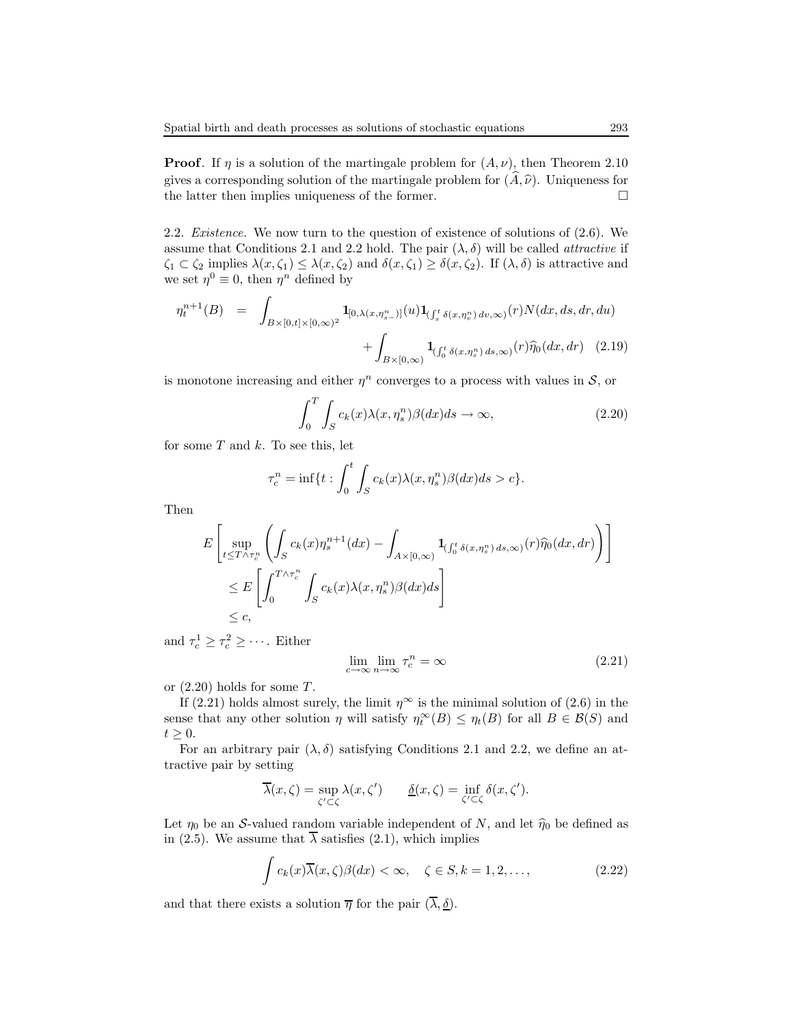**Proof.** If  $\eta$  is a solution of the martingale problem for  $(A, \nu)$ , then Theorem 2.10 gives a corresponding solution of the martingale problem for  $(A, \hat{\nu})$ . Uniqueness for the latter then implies uniqueness of the former. the latter then implies uniqueness of the former.

2.2. Existence. We now turn to the question of existence of solutions of (2.6). We assume that Conditions 2.1 and 2.2 hold. The pair  $(\lambda, \delta)$  will be called *attractive* if  $\zeta_1 \subset \zeta_2$  implies  $\lambda(x,\zeta_1) \leq \lambda(x,\zeta_2)$  and  $\delta(x,\zeta_1) \geq \delta(x,\zeta_2)$ . If  $(\lambda,\delta)$  is attractive and we set  $\eta^0 \equiv 0$ , then  $\eta^n$  defined by

$$
\eta_t^{n+1}(B) = \int_{B \times [0,t] \times [0,\infty)^2} \mathbf{1}_{[0,\lambda(x,\eta_{s-}^n)]}(u) \mathbf{1}_{\left(\int_s^t \delta(x,\eta_v^n) \, dv,\infty\right)}(r) N(dx, ds, dr, du) \n+ \int_{B \times [0,\infty)} \mathbf{1}_{\left(\int_0^t \delta(x,\eta_s^n) \, ds,\infty\right)}(r) \widehat{\eta}_0(dx, dr) \tag{2.19}
$$

is monotone increasing and either  $\eta^n$  converges to a process with values in  $\mathcal{S}$ , or

$$
\int_{0}^{T} \int_{S} c_{k}(x) \lambda(x, \eta_{s}^{n}) \beta(dx) ds \to \infty,
$$
\n(2.20)

for some  $T$  and  $k$ . To see this, let

$$
\tau_c^n = \inf\{t : \int_0^t \int_S c_k(x) \lambda(x, \eta_s^n) \beta(dx) ds > c\}.
$$

Then

$$
E\left[\sup_{t\leq T\wedge\tau_c^n}\left(\int_Sc_k(x)\eta_s^{n+1}(dx)-\int_{A\times[0,\infty)}\mathbf{1}_{(\int_0^t\delta(x,\eta_s^n)\,ds,\infty)}(r)\widehat{\eta}_0(dx,dr)\right)\right]
$$
  
\$\leq E\left[\int\_0^{T\wedge\tau\_c^n}\int\_Sc\_k(x)\lambda(x,\eta\_s^n)\beta(dx)ds\right]\$   
\$\leq c\$,

and  $\tau_c^1 \geq \tau_c^2 \geq \cdots$ . Either

$$
\lim_{c \to \infty} \lim_{n \to \infty} \tau_c^n = \infty \tag{2.21}
$$

or  $(2.20)$  holds for some T.

If (2.21) holds almost surely, the limit  $\eta^{\infty}$  is the minimal solution of (2.6) in the sense that any other solution  $\eta$  will satisfy  $\eta_t^{\infty}(B) \leq \eta_t(B)$  for all  $B \in \mathcal{B}(S)$  and  $t \geq 0$ .

For an arbitrary pair  $(\lambda, \delta)$  satisfying Conditions 2.1 and 2.2, we define an attractive pair by setting

$$
\overline{\lambda}(x,\zeta) = \sup_{\zeta' \subset \zeta} \lambda(x,\zeta') \qquad \underline{\delta}(x,\zeta) = \inf_{\zeta' \subset \zeta} \delta(x,\zeta').
$$

Let  $\eta_0$  be an S-valued random variable independent of N, and let  $\hat{\eta}_0$  be defined as in (2.5). We assume that  $\overline{\lambda}$  satisfies (2.1), which implies

$$
\int c_k(x)\overline{\lambda}(x,\zeta)\beta(dx) < \infty, \quad \zeta \in S, k = 1, 2, \dots,\tag{2.22}
$$

and that there exists a solution  $\overline{\eta}$  for the pair  $(\overline{\lambda}, \underline{\delta})$ .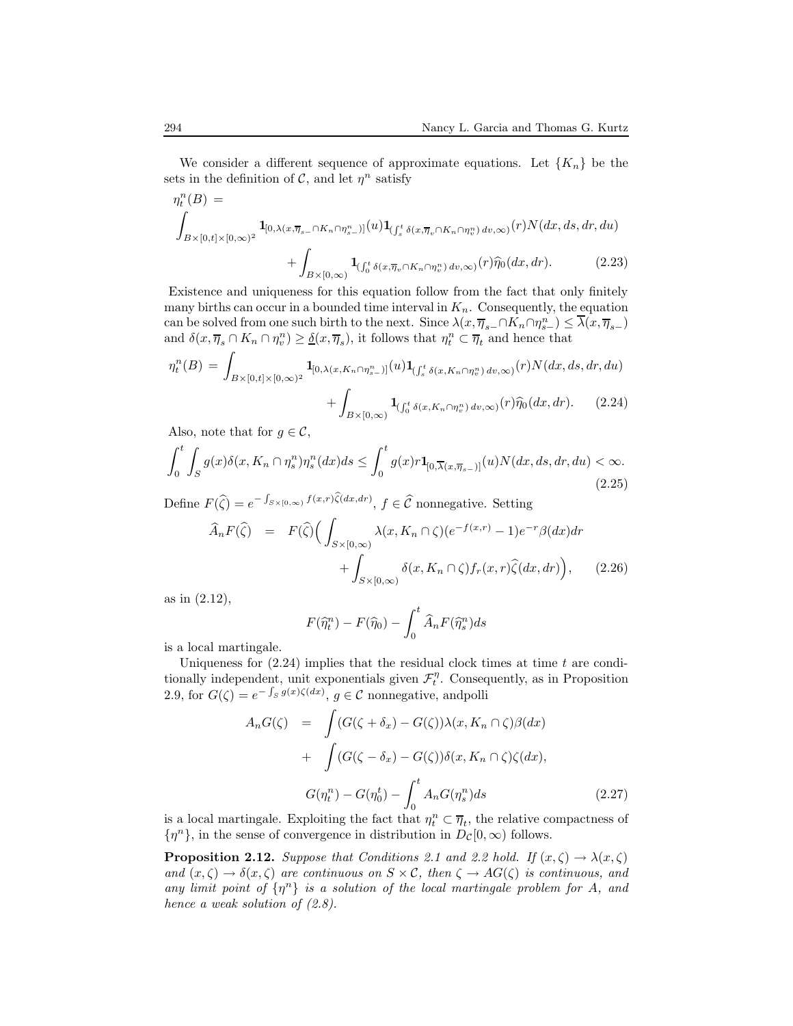We consider a different sequence of approximate equations. Let  ${K_n}$  be the sets in the definition of  $\mathcal{C}$ , and let  $\eta^n$  satisfy

$$
\eta_t^n(B) =
$$
\n
$$
\int_{B \times [0,t] \times [0,\infty)^2} \mathbf{1}_{[0,\lambda(x,\overline{\eta}_s - \cap K_n \cap \eta_{s-}^n)]}(u) \mathbf{1}_{(\int_s^t \delta(x,\overline{\eta}_v \cap K_n \cap \eta_v^n) dv,\infty)}(r) N(dx, ds, dr, du)
$$
\n
$$
+ \int_{B \times [0,\infty)} \mathbf{1}_{(\int_0^t \delta(x,\overline{\eta}_v \cap K_n \cap \eta_v^n) dv,\infty)}(r) \widehat{\eta}_0(dx, dr).
$$
\n(2.23)

Existence and uniqueness for this equation follow from the fact that only finitely many births can occur in a bounded time interval in  $K_n$ . Consequently, the equation can be solved from one such birth to the next. Since  $\lambda(x, \overline{\eta}_{s-} \cap K_n \cap \eta_{s-}^n) \leq \overline{\lambda}(x, \overline{\eta}_{s-})$ and  $\delta(x, \overline{\eta}_s \cap K_n \cap \eta_v^n) \geq \underline{\delta}(x, \overline{\eta}_s)$ , it follows that  $\eta_t^n \subset \overline{\eta}_t$  and hence that

$$
\eta_t^n(B) = \int_{B \times [0,t] \times [0,\infty)^2} \mathbf{1}_{[0,\lambda(x,K_n \cap \eta_s^n)]}(u) \mathbf{1}_{\left(\int_s^t \delta(x,K_n \cap \eta_v^n) dv, \infty\right)}(r) N(dx, ds, dr, du)
$$

$$
+ \int_{B \times [0,\infty)} \mathbf{1}_{\left(\int_0^t \delta(x,K_n \cap \eta_v^n) dv, \infty\right)}(r) \hat{\eta}_0(dx, dr). \tag{2.24}
$$

Also, note that for  $g \in \mathcal{C}$ ,

$$
\int_0^t \int_S g(x) \delta(x, K_n \cap \eta_s^n) \eta_s^n(dx) ds \le \int_0^t g(x) r \mathbf{1}_{[0, \overline{\lambda}(x, \overline{\eta}_{s-})]}(u) N(dx, ds, dr, du) < \infty.
$$
\n(2.25)

Define  $F(\widehat{\zeta}) = e^{-\int_{S \times [0,\infty)} f(x,r)\widehat{\zeta}(dx,dr)},$   $f \in \widehat{\mathcal{C}}$  nonnegative. Setting

$$
\widehat{A}_n F(\widehat{\zeta}) = F(\widehat{\zeta}) \Big( \int_{S \times [0,\infty)} \lambda(x, K_n \cap \zeta) (e^{-f(x,r)} - 1) e^{-r} \beta(dx) dr \n+ \int_{S \times [0,\infty)} \delta(x, K_n \cap \zeta) f_r(x,r) \widehat{\zeta}(dx, dr) \Big), \tag{2.26}
$$

as in (2.12),

$$
F(\widehat{\eta}_t^n) - F(\widehat{\eta}_0) - \int_0^t \widehat{A}_n F(\widehat{\eta}_s^n) ds
$$

is a local martingale.

Uniqueness for  $(2.24)$  implies that the residual clock times at time t are conditionally independent, unit exponentials given  $\mathcal{F}_t^{\eta}$ . Consequently, as in Proposition 2.9, for  $G(\zeta) = e^{-\int_S g(x)\zeta(dx)}$ ,  $g \in \mathcal{C}$  nonnegative, and polli

$$
A_n G(\zeta) = \int (G(\zeta + \delta_x) - G(\zeta)) \lambda(x, K_n \cap \zeta) \beta(dx)
$$
  
+ 
$$
\int (G(\zeta - \delta_x) - G(\zeta)) \delta(x, K_n \cap \zeta) \zeta(dx),
$$
  

$$
G(\eta_t^n) - G(\eta_0^t) - \int_0^t A_n G(\eta_s^n) ds
$$
 (2.27)

is a local martingale. Exploiting the fact that  $\eta_t^n \subset \overline{\eta}_t$ , the relative compactness of  $\{\eta^n\}$ , in the sense of convergence in distribution in  $D_{\mathcal{C}}[0,\infty)$  follows.

**Proposition 2.12.** Suppose that Conditions 2.1 and 2.2 hold. If  $(x, \zeta) \to \lambda(x, \zeta)$ and  $(x,\zeta) \to \delta(x,\zeta)$  are continuous on  $S \times \mathcal{C}$ , then  $\zeta \to AG(\zeta)$  is continuous, and any limit point of  $\{\eta^n\}$  is a solution of the local martingale problem for A, and hence a weak solution of  $(2.8)$ .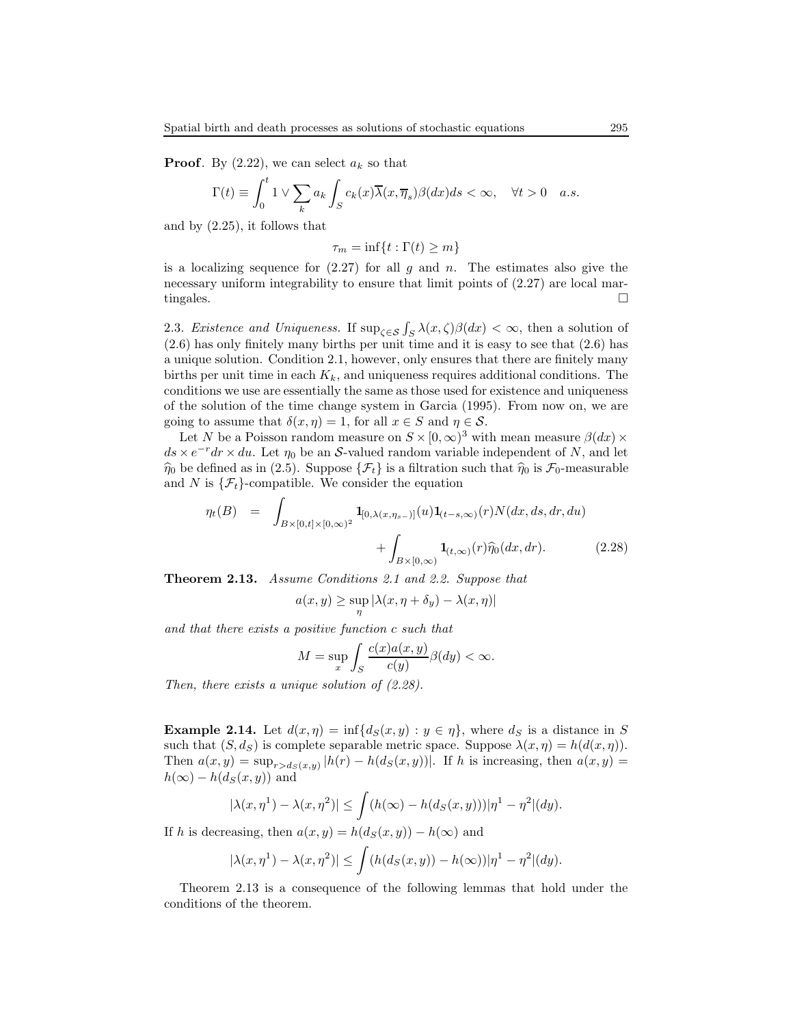**Proof.** By  $(2.22)$ , we can select  $a_k$  so that

$$
\Gamma(t) \equiv \int_0^t 1 \vee \sum_k a_k \int_S c_k(x) \overline{\lambda}(x, \overline{\eta}_s) \beta(dx) ds < \infty, \quad \forall t > 0 \quad a.s.
$$

and by (2.25), it follows that

$$
\tau_m = \inf\{t : \Gamma(t) \ge m\}
$$

is a localizing sequence for  $(2.27)$  for all g and n. The estimates also give the necessary uniform integrability to ensure that limit points of (2.27) are local martingales.  $\Box$ 

2.3. Existence and Uniqueness. If  $\sup_{\zeta \in S} \int_S \lambda(x,\zeta) \beta(dx) < \infty$ , then a solution of (2.6) has only finitely many births per unit time and it is easy to see that (2.6) has a unique solution. Condition 2.1, however, only ensures that there are finitely many births per unit time in each  $K_k$ , and uniqueness requires additional conditions. The conditions we use are essentially the same as those used for existence and uniqueness of the solution of the time change system in Garcia (1995). From now on, we are going to assume that  $\delta(x, \eta) = 1$ , for all  $x \in S$  and  $\eta \in S$ .

Let N be a Poisson random measure on  $S \times [0, \infty)^3$  with mean measure  $\beta(dx) \times$  $ds \times e^{-r}dr \times du$ . Let  $\eta_0$  be an S-valued random variable independent of N, and let  $\hat{\eta}_0$  be defined as in (2.5). Suppose  $\{\mathcal{F}_t\}$  is a filtration such that  $\hat{\eta}_0$  is  $\mathcal{F}_0$ -measurable and N is  $\{\mathcal{F}_t\}$ -compatible. We consider the equation

$$
\eta_t(B) = \int_{B \times [0,t] \times [0,\infty)^2} \mathbf{1}_{[0,\lambda(x,\eta_{s-})]}(u) \mathbf{1}_{(t-s,\infty)}(r) N(dx, ds, dr, du) \n+ \int_{B \times [0,\infty)} \mathbf{1}_{(t,\infty)}(r) \hat{\eta}_0(dx, dr).
$$
\n(2.28)

Theorem 2.13. Assume Conditions 2.1 and 2.2. Suppose that

$$
a(x, y) \ge \sup_{\eta} |\lambda(x, \eta + \delta_y) - \lambda(x, \eta)|
$$

and that there exists a positive function c such that

$$
M = \sup_{x} \int_{S} \frac{c(x)a(x,y)}{c(y)} \beta(dy) < \infty.
$$

Then, there exists a unique solution of  $(2.28)$ .

**Example 2.14.** Let  $d(x, \eta) = \inf\{d_S(x, y) : y \in \eta\}$ , where  $d_S$  is a distance in S such that  $(S, d_S)$  is complete separable metric space. Suppose  $\lambda(x, \eta) = h(d(x, \eta))$ . Then  $a(x, y) = \sup_{r > d_S(x, y)} |h(r) - h(d_S(x, y))|$ . If h is increasing, then  $a(x, y) =$  $h(\infty) - h(d_S(x, y))$  and

$$
|\lambda(x,\eta^1)-\lambda(x,\eta^2)|\leq \int (h(\infty)-h(d_S(x,y)))|\eta^1-\eta^2|(dy).
$$

If h is decreasing, then  $a(x, y) = h(d_S(x, y)) - h(\infty)$  and

$$
|\lambda(x,\eta^1)-\lambda(x,\eta^2)|\leq \int (h(ds(x,y))-h(\infty))|\eta^1-\eta^2|(dy).
$$

Theorem 2.13 is a consequence of the following lemmas that hold under the conditions of the theorem.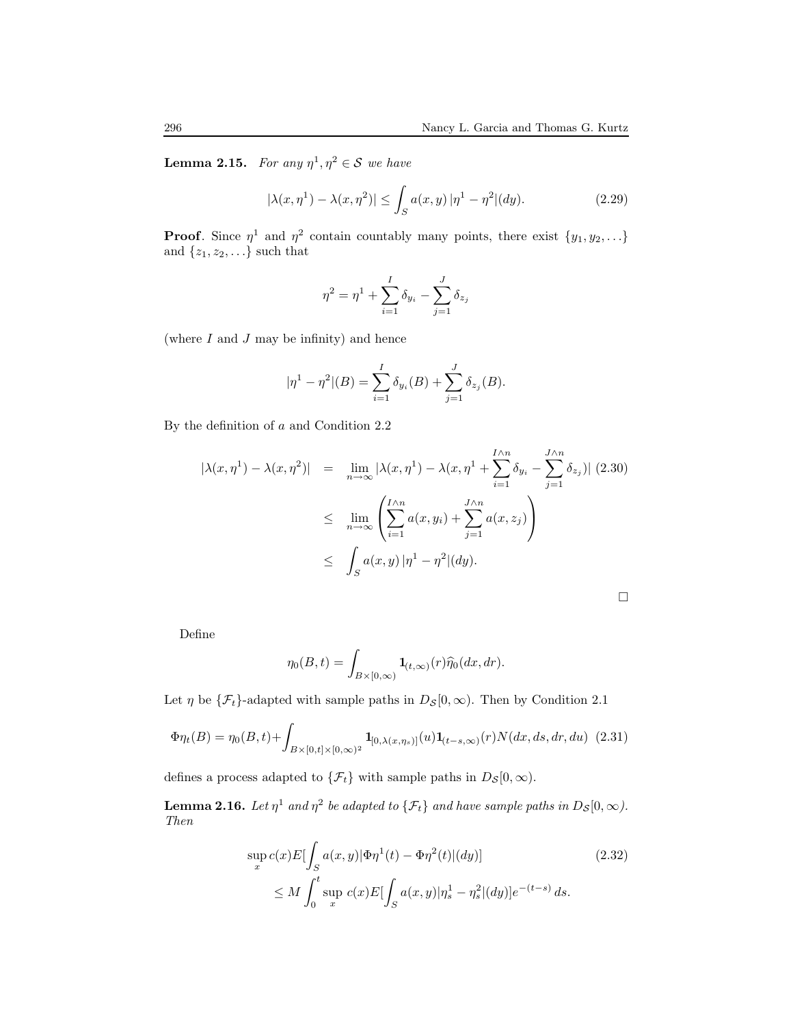**Lemma 2.15.** For any  $\eta^1, \eta^2 \in \mathcal{S}$  we have

$$
|\lambda(x, \eta^1) - \lambda(x, \eta^2)| \le \int_S a(x, y) |\eta^1 - \eta^2| (dy).
$$
 (2.29)

**Proof.** Since  $\eta^1$  and  $\eta^2$  contain countably many points, there exist  $\{y_1, y_2, \ldots\}$ and  $\{z_1, z_2, \ldots\}$  such that

$$
\eta^{2} = \eta^{1} + \sum_{i=1}^{I} \delta_{y_{i}} - \sum_{j=1}^{J} \delta_{z_{j}}
$$

(where  $I$  and  $J$  may be infinity) and hence

$$
|\eta^{1} - \eta^{2}|(B) = \sum_{i=1}^{I} \delta_{y_{i}}(B) + \sum_{j=1}^{J} \delta_{z_{j}}(B).
$$

By the definition of a and Condition 2.2

$$
|\lambda(x,\eta^1) - \lambda(x,\eta^2)| = \lim_{n \to \infty} |\lambda(x,\eta^1) - \lambda(x,\eta^1 + \sum_{i=1}^{I \wedge n} \delta_{y_i} - \sum_{j=1}^{J \wedge n} \delta_{z_j})| (2.30)
$$
  

$$
\leq \lim_{n \to \infty} \left( \sum_{i=1}^{I \wedge n} a(x,y_i) + \sum_{j=1}^{J \wedge n} a(x,z_j) \right)
$$
  

$$
\leq \int_S a(x,y) |\eta^1 - \eta^2| (dy).
$$

Define

$$
\eta_0(B, t) = \int_{B \times [0, \infty)} \mathbf{1}_{(t, \infty)}(r) \widehat{\eta}_0(dx, dr).
$$

Let  $\eta$  be  $\{\mathcal{F}_t\}$ -adapted with sample paths in  $D_{\mathcal{S}}[0,\infty)$ . Then by Condition 2.1

$$
\Phi \eta_t(B) = \eta_0(B, t) + \int_{B \times [0, t] \times [0, \infty)^2} \mathbf{1}_{[0, \lambda(x, \eta_s)]}(u) \mathbf{1}_{(t-s, \infty)}(r) N(dx, ds, dr, du)
$$
 (2.31)

defines a process adapted to  $\{\mathcal{F}_t\}$  with sample paths in  $D_{\mathcal{S}}[0,\infty)$ .

**Lemma 2.16.** Let  $\eta^1$  and  $\eta^2$  be adapted to  $\{\mathcal{F}_t\}$  and have sample paths in  $D_{\mathcal{S}}[0,\infty)$ . Then

$$
\sup_{x} c(x) E[\int_{S} a(x, y) | \Phi \eta^{1}(t) - \Phi \eta^{2}(t) | (dy)] \tag{2.32}
$$
\n
$$
\leq M \int_{0}^{t} \sup_{x} c(x) E[\int_{S} a(x, y) | \eta_{s}^{1} - \eta_{s}^{2}| (dy)] e^{-(t-s)} ds.
$$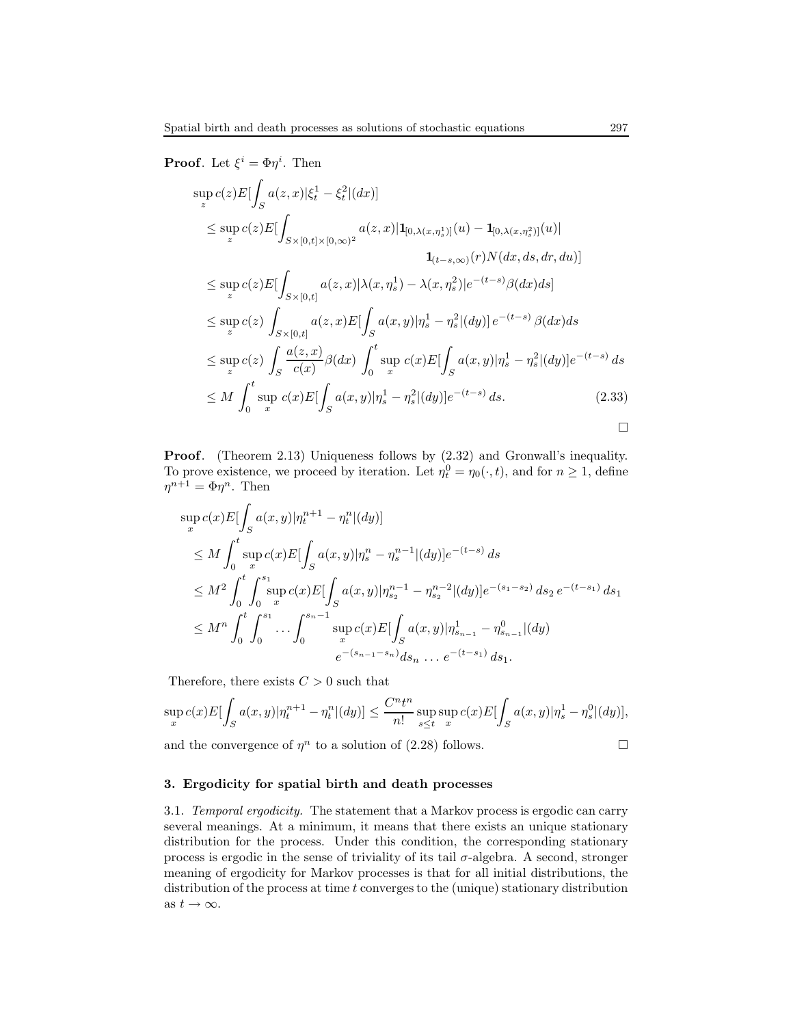**Proof.** Let  $\xi^i = \Phi \eta^i$ . Then

$$
\sup_{z} c(z) E[\int_{S} a(z,x)|\xi_{t}^{1} - \xi_{t}^{2}|(dx)]
$$
\n
$$
\leq \sup_{z} c(z) E[\int_{S\times[0,t]\times[0,\infty)^{2}} a(z,x)|1_{[0,\lambda(x,\eta_{s}^{1})]}(u) - 1_{[0,\lambda(x,\eta_{s}^{2})]}(u)|
$$
\n
$$
1_{(t-s,\infty)}(r) N(dx, ds, dr, du)]
$$
\n
$$
\leq \sup_{z} c(z) E[\int_{S\times[0,t]} a(z,x)|\lambda(x,\eta_{s}^{1}) - \lambda(x,\eta_{s}^{2})|e^{-(t-s)}\beta(dx)ds]
$$
\n
$$
\leq \sup_{z} c(z) \int_{S\times[0,t]} a(z,x) E[\int_{S} a(x,y)|\eta_{s}^{1} - \eta_{s}^{2}|(dy)|e^{-(t-s)}\beta(dx)ds
$$
\n
$$
\leq \sup_{z} c(z) \int_{S} \frac{a(z,x)}{c(x)}\beta(dx) \int_{0}^{t} \sup_{x} c(x) E[\int_{S} a(x,y)|\eta_{s}^{1} - \eta_{s}^{2}|(dy)|e^{-(t-s)} ds]
$$
\n
$$
\leq M \int_{0}^{t} \sup_{x} c(x) E[\int_{S} a(x,y)|\eta_{s}^{1} - \eta_{s}^{2}|(dy)|e^{-(t-s)} ds. \qquad (2.33)
$$

Proof. (Theorem 2.13) Uniqueness follows by (2.32) and Gronwall's inequality. To prove existence, we proceed by iteration. Let  $\eta_t^0 = \eta_0(\cdot, t)$ , and for  $n \ge 1$ , define  $\eta^{n+1} = \Phi \eta^n$ . Then

$$
\sup_{x} c(x) E[\int_{S} a(x, y) | \eta_{t}^{n+1} - \eta_{t}^{n} | (dy)]
$$
\n
$$
\leq M \int_{0}^{t} \sup_{x} c(x) E[\int_{S} a(x, y) | \eta_{s}^{n} - \eta_{s}^{n-1} | (dy)] e^{-(t-s)} ds
$$
\n
$$
\leq M^{2} \int_{0}^{t} \int_{0}^{s_{1}} \sup_{x} c(x) E[\int_{S} a(x, y) | \eta_{s_{2}}^{n-1} - \eta_{s_{2}}^{n-2} | (dy)] e^{-(s_{1}-s_{2})} ds_{2} e^{-(t-s_{1})} ds_{1}
$$
\n
$$
\leq M^{n} \int_{0}^{t} \int_{0}^{s_{1}} \cdots \int_{0}^{s_{n-1}} \sup_{x} c(x) E[\int_{S} a(x, y) | \eta_{s_{n-1}}^{1} - \eta_{s_{n-1}}^{0} | (dy)]
$$
\n
$$
e^{-(s_{n-1}-s_{n})} ds_{n} \dots e^{-(t-s_{1})} ds_{1}.
$$

Therefore, there exists  $C > 0$  such that

$$
\sup_{x} c(x) E[\int_{S} a(x, y) | \eta_{t}^{n+1} - \eta_{t}^{n} |(dy)] \leq \frac{C^{n} t^{n}}{n!} \sup_{s \leq t} \sup_{x} c(x) E[\int_{S} a(x, y) | \eta_{s}^{1} - \eta_{s}^{0} |(dy)],
$$

and the convergence of  $\eta^n$  to a solution of (2.28) follows.

### 3. Ergodicity for spatial birth and death processes

3.1. Temporal ergodicity. The statement that a Markov process is ergodic can carry several meanings. At a minimum, it means that there exists an unique stationary distribution for the process. Under this condition, the corresponding stationary process is ergodic in the sense of triviality of its tail  $\sigma$ -algebra. A second, stronger meaning of ergodicity for Markov processes is that for all initial distributions, the distribution of the process at time  $t$  converges to the (unique) stationary distribution as  $t\to\infty.$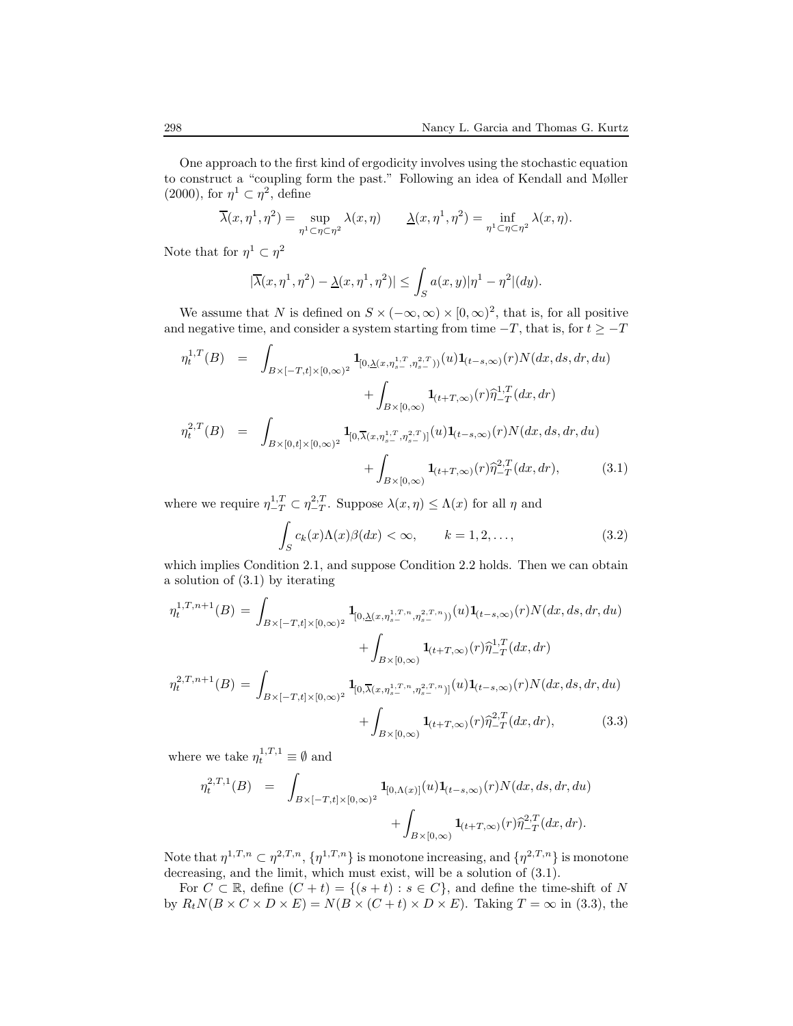One approach to the first kind of ergodicity involves using the stochastic equation to construct a "coupling form the past." Following an idea of Kendall and Møller  $(2000)$ , for  $\eta^1 \subset \eta^2$ , define

$$
\overline{\lambda}(x,\eta^1,\eta^2) = \sup_{\eta^1 \subset \eta \subset \eta^2} \lambda(x,\eta) \qquad \underline{\lambda}(x,\eta^1,\eta^2) = \inf_{\eta^1 \subset \eta \subset \eta^2} \lambda(x,\eta).
$$

Note that for  $\eta^1 \subset \eta^2$ 

$$
|\overline{\lambda}(x, \eta^1, \eta^2) - \underline{\lambda}(x, \eta^1, \eta^2)| \le \int_S a(x, y) |\eta^1 - \eta^2| (dy).
$$

We assume that N is defined on  $S \times (-\infty, \infty) \times [0, \infty)^2$ , that is, for all positive and negative time, and consider a system starting from time  $-T$ , that is, for  $t \geq -T$ 

$$
\eta_t^{1,T}(B) = \int_{B \times [-T,t] \times [0,\infty)^2} \mathbf{1}_{[0,\underline{\lambda}(x,\eta_{s-}^{1,T},\eta_{s-}^{2,T}))}(u) \mathbf{1}_{(t-s,\infty)}(r) N(dx, ds, dr, du) \n+ \int_{B \times [0,\infty)} \mathbf{1}_{(t+T,\infty)}(r) \hat{\eta}_{-T}^{1,T}(dx, dr) \n\eta_t^{2,T}(B) = \int_{B \times [0,t] \times [0,\infty)^2} \mathbf{1}_{[0,\overline{\lambda}(x,\eta_{s-}^{1,T},\eta_{s-}^{2,T})]}(u) \mathbf{1}_{(t-s,\infty)}(r) N(dx, ds, dr, du) \n+ \int_{B \times [0,\infty)} \mathbf{1}_{(t+T,\infty)}(r) \hat{\eta}_{-T}^{2,T}(dx, dr),
$$
\n(3.1)

where we require  $\eta_{-T}^{1,T} \subset \eta_{-T}^{2,T}$ . Suppose  $\lambda(x, \eta) \leq \Lambda(x)$  for all  $\eta$  and

$$
\int_{S} c_k(x) \Lambda(x) \beta(dx) < \infty, \qquad k = 1, 2, \dots,\tag{3.2}
$$

which implies Condition 2.1, and suppose Condition 2.2 holds. Then we can obtain a solution of (3.1) by iterating

$$
\eta_t^{1,T,n+1}(B) = \int_{B \times [-T,t] \times [0,\infty)^2} \mathbf{1}_{[0,\underline{\lambda}(x,\eta_{s-}^{1,T,n},\eta_{s-}^{2,T,n}))}(u) \mathbf{1}_{(t-s,\infty)}(r) N(dx, ds, dr, du)
$$

$$
+ \int_{B \times [0,\infty)} \mathbf{1}_{(t+T,\infty)}(r) \widehat{\eta}_{-T}^{1,T}(dx, dr)
$$

$$
\eta_t^{2,T,n+1}(B) = \int_{B \times [-T,t] \times [0,\infty)^2} \mathbf{1}_{[0,\overline{\lambda}(x,\eta_{s-}^{1,T,n},\eta_{s-}^{2,T,n})]}(u) \mathbf{1}_{(t-s,\infty)}(r) N(dx, ds, dr, du)
$$

$$
+ \int_{B \times [0,\infty)} \mathbf{1}_{(t+T,\infty)}(r) \widehat{\eta}_{-T}^{2,T}(dx, dr), \qquad (3.3)
$$

where we take  $\eta_t^{1,T,1} \equiv \emptyset$  and

$$
\eta_t^{2,T,1}(B) = \int_{B \times [-T,t] \times [0,\infty)^2} \mathbf{1}_{[0,\Lambda(x)]}(u) \mathbf{1}_{(t-s,\infty)}(r) N(dx, ds, dr, du) \n+ \int_{B \times [0,\infty)} \mathbf{1}_{(t+T,\infty)}(r) \hat{\eta}_{-T}^{2,T}(dx, dr).
$$

Note that  $\eta^{1,T,n} \subset \eta^{2,T,n}, \{\eta^{1,T,n}\}\$ is monotone increasing, and  $\{\eta^{2,T,n}\}\$ is monotone decreasing, and the limit, which must exist, will be a solution of (3.1).

For  $C \subset \mathbb{R}$ , define  $(C + t) = \{(s + t) : s \in C\}$ , and define the time-shift of N by  $R_tN(B \times C \times D \times E) = N(B \times (C + t) \times D \times E)$ . Taking  $T = \infty$  in (3.3), the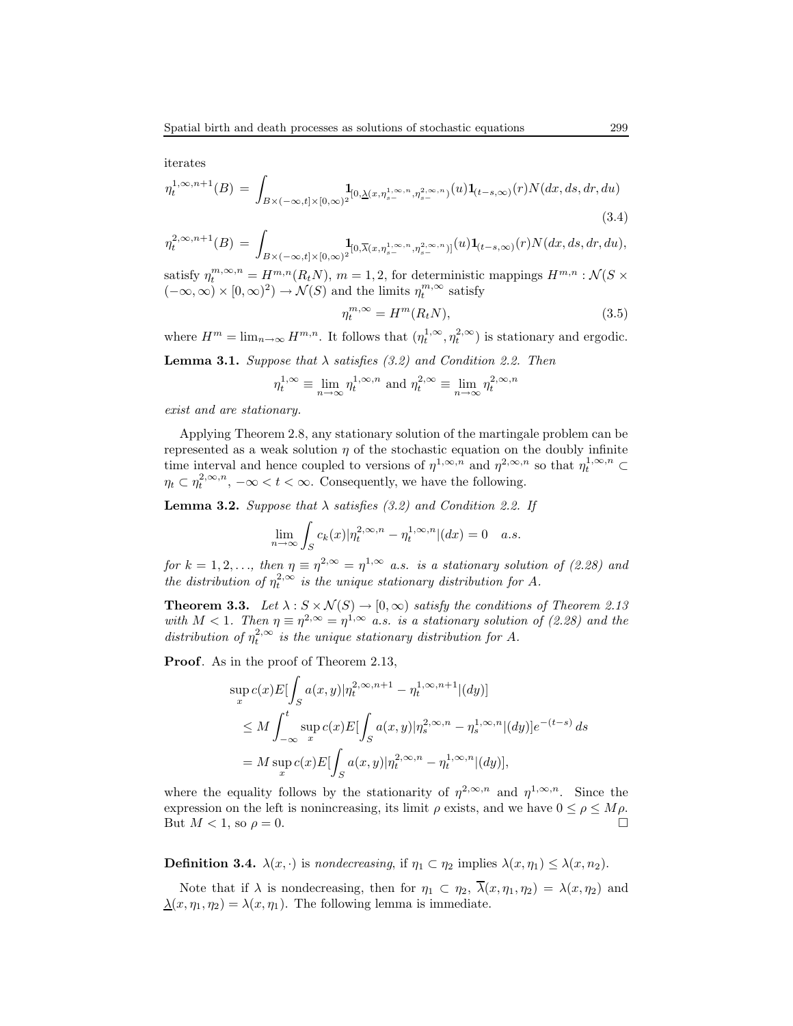iterates

$$
\eta_t^{1,\infty,n+1}(B) = \int_{B \times (-\infty,t] \times [0,\infty)^2} \mathbf{1}_{[0,\underline{\lambda}(x,\eta_s^{1,\infty,n},\eta_s^{2,\infty,n})}(u) \mathbf{1}_{(t-s,\infty)}(r) N(dx,ds,dr,du)
$$
\n(3.4)

$$
\eta_t^{2,\infty,n+1}(B) = \int_{B\times(-\infty,t]\times[0,\infty)^2} \mathbf{1}_{[0,\overline{\lambda}(x,\eta_{s-}^{1,\infty,n},\eta_{s-}^{2,\infty,n})]}(u)\mathbf{1}_{(t-s,\infty)}(r)N(dx,ds,dr,du),
$$

satisfy  $\eta_t^{m,\infty,n} = H^{m,n}(R_tN)$ ,  $m = 1, 2$ , for deterministic mappings  $H^{m,n} : \mathcal{N}(S \times$  $(-\infty, \infty) \times [0, \infty)^2$   $\rightarrow \mathcal{N}(S)$  and the limits  $\eta_t^{m, \infty}$  satisfy

$$
\eta_t^{m,\infty} = H^m(R_t N),\tag{3.5}
$$

where  $H^m = \lim_{n \to \infty} H^{m,n}$ . It follows that  $(\eta_t^{1,\infty}, \eta_t^{2,\infty})$  is stationary and ergodic.

**Lemma 3.1.** Suppose that  $\lambda$  satisfies (3.2) and Condition 2.2. Then

$$
\eta_t^{1,\infty} \equiv \lim_{n \to \infty} \eta_t^{1,\infty,n}
$$
 and  $\eta_t^{2,\infty} \equiv \lim_{n \to \infty} \eta_t^{2,\infty,n}$ 

exist and are stationary.

Applying Theorem 2.8, any stationary solution of the martingale problem can be represented as a weak solution  $\eta$  of the stochastic equation on the doubly infinite time interval and hence coupled to versions of  $\eta^{1,\infty,n}$  and  $\eta^{2,\infty,n}$  so that  $\eta_t^{1,\infty,n}$  $\eta_t \subset \eta_t^{2,\infty,n}, -\infty < t < \infty.$  Consequently, we have the following.

**Lemma 3.2.** Suppose that  $\lambda$  satisfies (3.2) and Condition 2.2. If

$$
\lim_{n \to \infty} \int_{S} c_k(x) |\eta_t^{2, \infty, n} - \eta_t^{1, \infty, n} |(dx) = 0 \quad a.s.
$$

for  $k = 1, 2, \ldots$ , then  $\eta \equiv \eta^{2,\infty} = \eta^{1,\infty}$  a.s. is a stationary solution of (2.28) and the distribution of  $\eta_t^{2,\infty}$  is the unique stationary distribution for A.

**Theorem 3.3.** Let  $\lambda : S \times \mathcal{N}(S) \rightarrow [0, \infty)$  satisfy the conditions of Theorem 2.13 with  $M < 1$ . Then  $\eta \equiv \eta^{2,\infty} = \eta^{1,\infty}$  a.s. is a stationary solution of (2.28) and the distribution of  $\eta_t^{2,\infty}$  is the unique stationary distribution for A.

Proof. As in the proof of Theorem 2.13,

$$
\sup_x c(x) E[\int_S a(x, y) | \eta_t^{2, \infty, n+1} - \eta_t^{1, \infty, n+1} | (dy)]
$$
  
\n
$$
\leq M \int_{-\infty}^t \sup_x c(x) E[\int_S a(x, y) | \eta_s^{2, \infty, n} - \eta_s^{1, \infty, n} | (dy)] e^{-(t-s)} ds
$$
  
\n
$$
= M \sup_x c(x) E[\int_S a(x, y) | \eta_t^{2, \infty, n} - \eta_t^{1, \infty, n} | (dy)],
$$

where the equality follows by the stationarity of  $\eta^{2,\infty,n}$  and  $\eta^{1,\infty,n}$ . Since the expression on the left is nonincreasing, its limit  $\rho$  exists, and we have  $0 \leq \rho \leq M \rho$ . But  $M < 1$ , so  $\rho = 0$ .

**Definition 3.4.**  $\lambda(x, \cdot)$  is nondecreasing, if  $\eta_1 \subset \eta_2$  implies  $\lambda(x, \eta_1) \leq \lambda(x, \eta_2)$ .

Note that if  $\lambda$  is nondecreasing, then for  $\eta_1 \subset \eta_2$ ,  $\overline{\lambda}(x, \eta_1, \eta_2) = \lambda(x, \eta_2)$  and  $\underline{\lambda}(x, \eta_1, \eta_2) = \lambda(x, \eta_1)$ . The following lemma is immediate.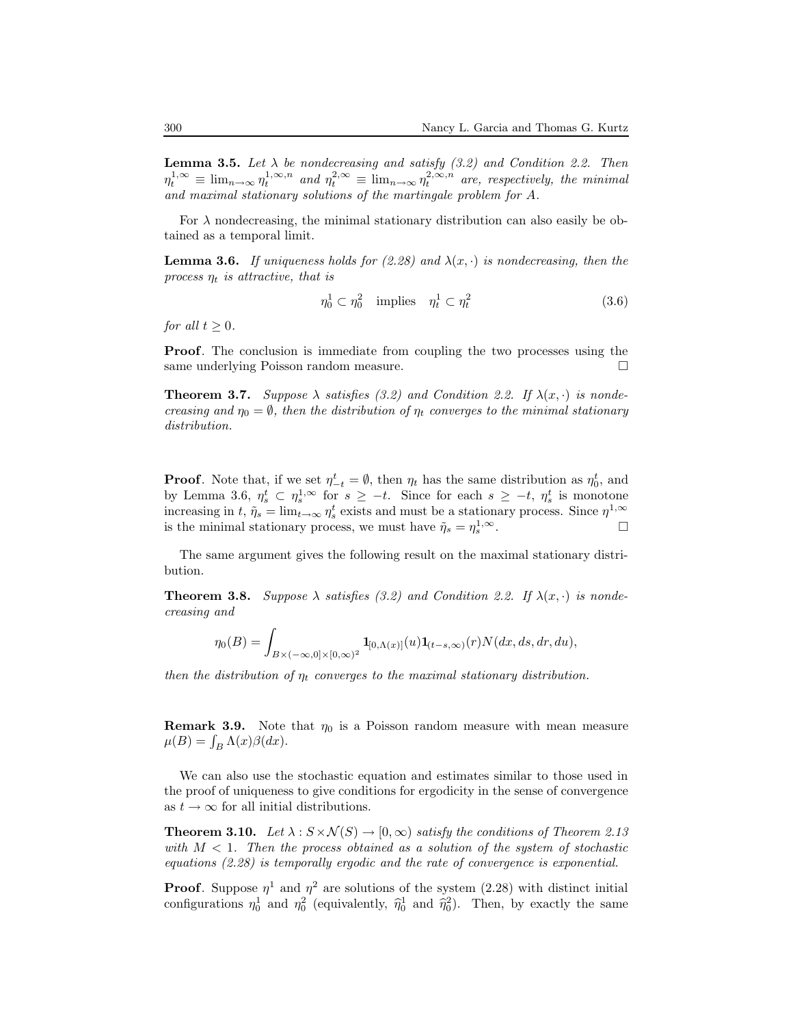**Lemma 3.5.** Let  $\lambda$  be nondecreasing and satisfy (3.2) and Condition 2.2. Then  $\eta_t^{1,\infty} \equiv \lim_{n \to \infty} \eta_t^{1,\infty,n}$  and  $\eta_t^{2,\infty} \equiv \lim_{n \to \infty} \eta_t^{2,\infty,n}$  are, respectively, the minimal and maximal stationary solutions of the martingale problem for A.

For  $\lambda$  nondecreasing, the minimal stationary distribution can also easily be obtained as a temporal limit.

**Lemma 3.6.** If uniqueness holds for (2.28) and  $\lambda(x, \cdot)$  is nondecreasing, then the process  $\eta_t$  is attractive, that is

$$
\eta_0^1 \subset \eta_0^2 \quad \text{implies} \quad \eta_t^1 \subset \eta_t^2 \tag{3.6}
$$

for all  $t \geq 0$ .

Proof. The conclusion is immediate from coupling the two processes using the same underlying Poisson random measure.

**Theorem 3.7.** Suppose  $\lambda$  satisfies (3.2) and Condition 2.2. If  $\lambda(x, \cdot)$  is nondecreasing and  $\eta_0 = \emptyset$ , then the distribution of  $\eta_t$  converges to the minimal stationary distribution.

**Proof.** Note that, if we set  $\eta_{-t}^t = \emptyset$ , then  $\eta_t$  has the same distribution as  $\eta_0^t$ , and by Lemma 3.6,  $\eta_s^t \subset \eta_s^{1,\infty}$  for  $s \geq -t$ . Since for each  $s \geq -t$ ,  $\eta_s^t$  is monotone increasing in t,  $\tilde{\eta}_s = \lim_{t \to \infty} \eta_s^t$  exists and must be a stationary process. Since  $\eta^{1,\infty}$ is the minimal stationary process, we must have  $\tilde{\eta}_s = \eta_s^{1,\infty}$ . — Первый процесс в принцесс в принцесс в принцесс в принцесс в принцесс в принцесс в принцесс в принцесс в п<br>В принцесс в принцесс в принцесс в принцесс в принцесс в принцесс в принцесс в принцесс в принцесс в принцесс

The same argument gives the following result on the maximal stationary distribution.

**Theorem 3.8.** Suppose  $\lambda$  satisfies (3.2) and Condition 2.2. If  $\lambda(x, \cdot)$  is nondecreasing and

$$
\eta_0(B)=\int_{B\times (-\infty,0]\times [0,\infty)^2}{\bf 1}_{[0,\Lambda(x)]}(u){\bf 1}_{(t-s,\infty)}(r)N(dx,ds,dr,du),
$$

then the distribution of  $\eta_t$  converges to the maximal stationary distribution.

**Remark 3.9.** Note that  $\eta_0$  is a Poisson random measure with mean measure  $\mu(B) = \int_B \Lambda(x)\beta(dx).$ 

We can also use the stochastic equation and estimates similar to those used in the proof of uniqueness to give conditions for ergodicity in the sense of convergence as  $t \to \infty$  for all initial distributions.

**Theorem 3.10.** Let  $\lambda : S \times \mathcal{N}(S) \rightarrow [0, \infty)$  satisfy the conditions of Theorem 2.13 with  $M < 1$ . Then the process obtained as a solution of the system of stochastic equations (2.28) is temporally ergodic and the rate of convergence is exponential.

**Proof.** Suppose  $\eta^1$  and  $\eta^2$  are solutions of the system (2.28) with distinct initial configurations  $\eta_0^1$  and  $\eta_0^2$  (equivalently,  $\hat{\eta}_0^1$  and  $\hat{\eta}_0^2$ ). Then, by exactly the same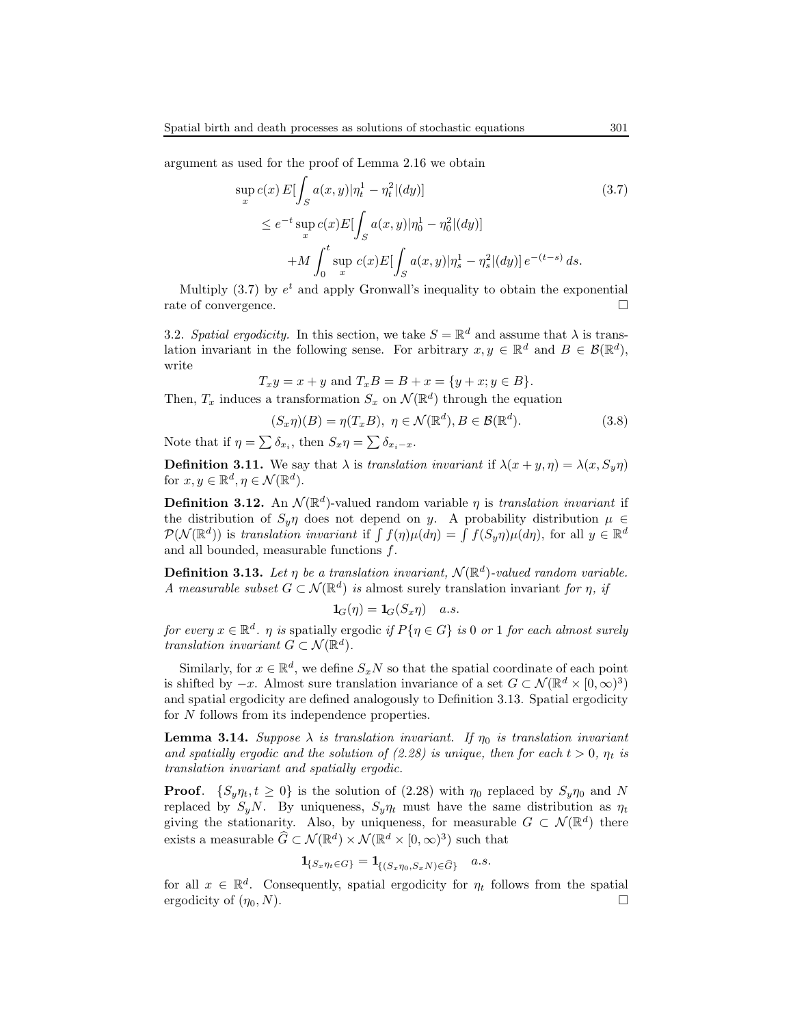argument as used for the proof of Lemma 2.16 we obtain

$$
\sup_{x} c(x) E[\int_{S} a(x, y)|\eta_{t}^{1} - \eta_{t}^{2}|(dy)]
$$
\n
$$
\leq e^{-t} \sup_{x} c(x) E[\int_{S} a(x, y)|\eta_{0}^{1} - \eta_{0}^{2}|(dy)]
$$
\n
$$
+ M \int_{0}^{t} \sup_{x} c(x) E[\int_{S} a(x, y)|\eta_{s}^{1} - \eta_{s}^{2}|(dy)] e^{-(t-s)} ds.
$$
\n(3.7)

Multiply  $(3.7)$  by  $e^t$  and apply Gronwall's inequality to obtain the exponential rate of convergence.  $\hfill \square$ 

3.2. Spatial ergodicity. In this section, we take  $S = \mathbb{R}^d$  and assume that  $\lambda$  is translation invariant in the following sense. For arbitrary  $x, y \in \mathbb{R}^d$  and  $B \in \mathcal{B}(\mathbb{R}^d)$ , write

$$
T_x y = x + y
$$
 and  $T_x B = B + x = \{y + x : y \in B\}.$ 

Then,  $T_x$  induces a transformation  $S_x$  on  $\mathcal{N}(\mathbb{R}^d)$  through the equation

$$
(S_x \eta)(B) = \eta(T_x B), \ \eta \in \mathcal{N}(\mathbb{R}^d), B \in \mathcal{B}(\mathbb{R}^d). \tag{3.8}
$$

Note that if  $\eta = \sum \delta_{x_i}$ , then  $S_x \eta = \sum \delta_{x_i-x}$ .

**Definition 3.11.** We say that  $\lambda$  is translation invariant if  $\lambda(x+y, \eta) = \lambda(x, S_{\eta}\eta)$ for  $x, y \in \mathbb{R}^d, \eta \in \mathcal{N}(\mathbb{R}^d)$ .

**Definition 3.12.** An  $\mathcal{N}(\mathbb{R}^d)$ -valued random variable  $\eta$  is translation invariant if the distribution of  $S_y \eta$  does not depend on y. A probability distribution  $\mu \in$  $\mathcal{P}(\mathcal{N}(\mathbb{R}^d))$  is translation invariant if  $\int f(\eta)\mu(d\eta) = \int f(S_y\eta)\mu(d\eta)$ , for all  $y \in \mathbb{R}^d$ and all bounded, measurable functions f.

**Definition 3.13.** Let  $\eta$  be a translation invariant,  $\mathcal{N}(\mathbb{R}^d)$ -valued random variable. A measurable subset  $G \subset \mathcal{N}(\mathbb{R}^d)$  is almost surely translation invariant for  $\eta$ , if

$$
\mathbf{1}_G(\eta) = \mathbf{1}_G(S_x \eta) \quad a.s.
$$

for every  $x \in \mathbb{R}^d$ .  $\eta$  is spatially ergodic if  $P\{\eta \in G\}$  is 0 or 1 for each almost surely translation invariant  $G \subset \mathcal{N}(\mathbb{R}^d)$ .

Similarly, for  $x \in \mathbb{R}^d$ , we define  $S_xN$  so that the spatial coordinate of each point is shifted by  $-x$ . Almost sure translation invariance of a set  $G \subset \mathcal{N}(\mathbb{R}^d \times [0,\infty)^3)$ and spatial ergodicity are defined analogously to Definition 3.13. Spatial ergodicity for N follows from its independence properties.

**Lemma 3.14.** Suppose  $\lambda$  is translation invariant. If  $\eta_0$  is translation invariant and spatially ergodic and the solution of (2.28) is unique, then for each  $t > 0$ ,  $\eta_t$  is translation invariant and spatially ergodic.

**Proof.**  $\{S_{\nu}\eta_t, t \geq 0\}$  is the solution of (2.28) with  $\eta_0$  replaced by  $S_{\nu}\eta_0$  and N replaced by  $S_yN$ . By uniqueness,  $S_y\eta_t$  must have the same distribution as  $\eta_t$ giving the stationarity. Also, by uniqueness, for measurable  $G \subset \mathcal{N}(\mathbb{R}^d)$  there exists a measurable  $\widehat{G} \subset \mathcal{N}(\mathbb{R}^d) \times \mathcal{N}(\mathbb{R}^d \times [0,\infty)^3)$  such that

$$
\mathbf{1}_{\{S_x\eta_t \in G\}} = \mathbf{1}_{\{(S_x\eta_0, S_xN) \in \widehat{G}\}} \quad a.s.
$$

for all  $x \in \mathbb{R}^d$ . Consequently, spatial ergodicity for  $\eta_t$  follows from the spatial ergodicity of  $(\eta_0, N)$ .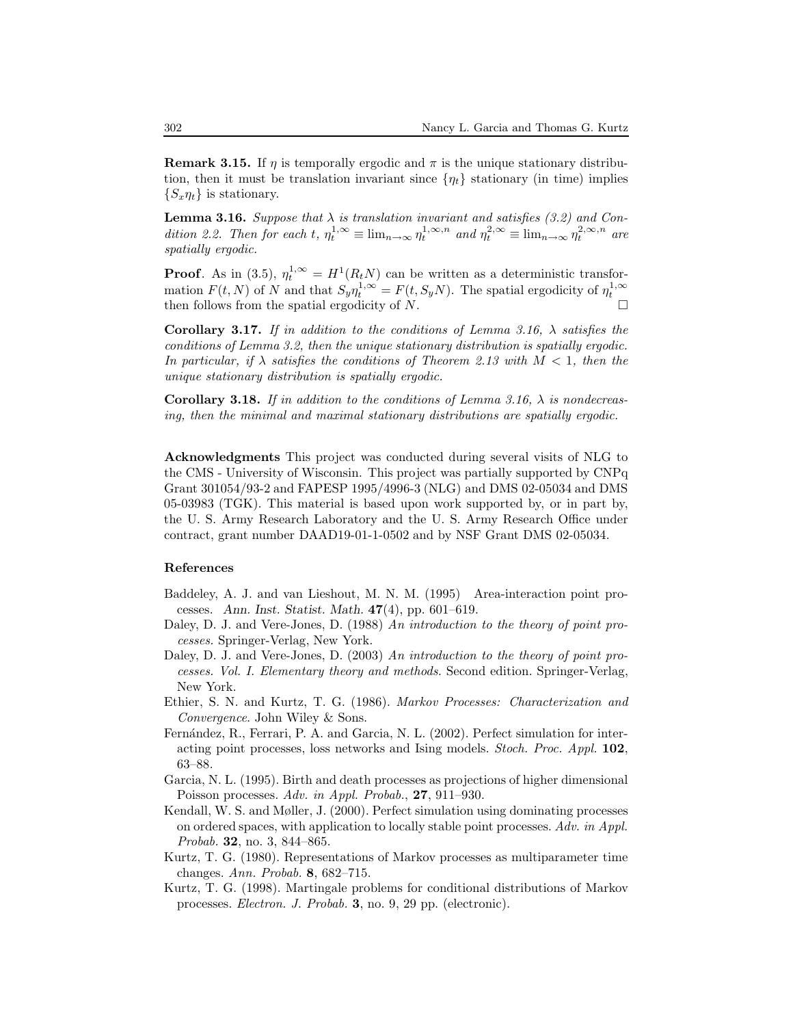**Remark 3.15.** If  $\eta$  is temporally ergodic and  $\pi$  is the unique stationary distribution, then it must be translation invariant since  $\{\eta_t\}$  stationary (in time) implies  $\{S_x\eta_t\}$  is stationary.

**Lemma 3.16.** Suppose that  $\lambda$  is translation invariant and satisfies (3.2) and Condition 2.2. Then for each t,  $\eta_t^{1,\infty} \equiv \lim_{n \to \infty} \eta_t^{1,\infty,n}$  and  $\eta_t^{2,\infty} \equiv \lim_{n \to \infty} \eta_t^{2,\infty,n}$  are spatially ergodic.

**Proof.** As in (3.5),  $\eta_t^{1,\infty} = H^1(R_tN)$  can be written as a deterministic transformation  $F(t, N)$  of N and that  $S_y \eta_t^{1, \infty} = F(t, S_y N)$ . The spatial ergodicity of  $\eta_t^{1, \infty}$ then follows from the spatial ergodicity of  $N$ .

Corollary 3.17. If in addition to the conditions of Lemma 3.16,  $\lambda$  satisfies the conditions of Lemma 3.2, then the unique stationary distribution is spatially ergodic. In particular, if  $\lambda$  satisfies the conditions of Theorem 2.13 with  $M < 1$ , then the unique stationary distribution is spatially ergodic.

**Corollary 3.18.** If in addition to the conditions of Lemma 3.16,  $\lambda$  is nondecreasing, then the minimal and maximal stationary distributions are spatially ergodic.

Acknowledgments This project was conducted during several visits of NLG to the CMS - University of Wisconsin. This project was partially supported by CNPq Grant 301054/93-2 and FAPESP 1995/4996-3 (NLG) and DMS 02-05034 and DMS 05-03983 (TGK). This material is based upon work supported by, or in part by, the U. S. Army Research Laboratory and the U. S. Army Research Office under contract, grant number DAAD19-01-1-0502 and by NSF Grant DMS 02-05034.

## References

- Baddeley, A. J. and van Lieshout, M. N. M. (1995) Area-interaction point processes. Ann. Inst. Statist. Math. 47(4), pp. 601–619.
- Daley, D. J. and Vere-Jones, D. (1988) An introduction to the theory of point processes. Springer-Verlag, New York.
- Daley, D. J. and Vere-Jones, D. (2003) An introduction to the theory of point processes. Vol. I. Elementary theory and methods. Second edition. Springer-Verlag, New York.
- Ethier, S. N. and Kurtz, T. G. (1986). Markov Processes: Characterization and Convergence. John Wiley & Sons.
- Fernández, R., Ferrari, P. A. and Garcia, N. L. (2002). Perfect simulation for interacting point processes, loss networks and Ising models. Stoch. Proc. Appl. 102, 63–88.
- Garcia, N. L. (1995). Birth and death processes as projections of higher dimensional Poisson processes. Adv. in Appl. Probab., 27, 911–930.
- Kendall, W. S. and Møller, J. (2000). Perfect simulation using dominating processes on ordered spaces, with application to locally stable point processes. Adv. in Appl. Probab. 32, no. 3, 844–865.
- Kurtz, T. G. (1980). Representations of Markov processes as multiparameter time changes. Ann. Probab. 8, 682–715.
- Kurtz, T. G. (1998). Martingale problems for conditional distributions of Markov processes. Electron. J. Probab. 3, no. 9, 29 pp. (electronic).